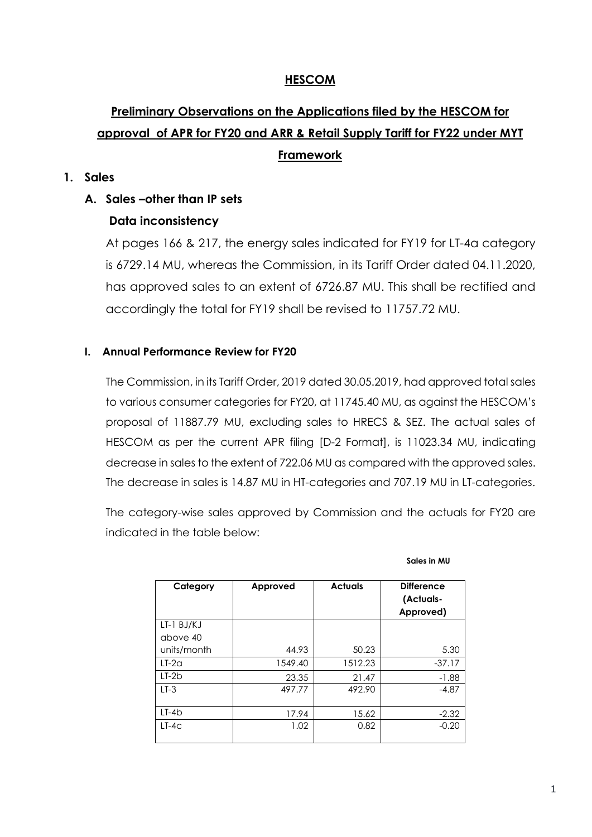## **HESCOM**

# **Preliminary Observations on the Applications filed by the HESCOM for approval of APR for FY20 and ARR & Retail Supply Tariff for FY22 under MYT Framework**

#### **1. Sales**

#### **A. Sales –other than IP sets**

#### **Data inconsistency**

At pages 166 & 217, the energy sales indicated for FY19 for LT-4a category is 6729.14 MU, whereas the Commission, in its Tariff Order dated 04.11.2020, has approved sales to an extent of 6726.87 MU. This shall be rectified and accordingly the total for FY19 shall be revised to 11757.72 MU.

#### **I. Annual Performance Review for FY20**

The Commission, in its Tariff Order, 2019 dated 30.05.2019, had approved total sales to various consumer categories for FY20, at 11745.40 MU, as against the HESCOM's proposal of 11887.79 MU, excluding sales to HRECS & SEZ. The actual sales of HESCOM as per the current APR filing [D-2 Format], is 11023.34 MU, indicating decrease in sales to the extent of 722.06 MU as compared with the approved sales. The decrease in sales is 14.87 MU in HT-categories and 707.19 MU in LT-categories.

The category-wise sales approved by Commission and the actuals for FY20 are indicated in the table below:

| Category       | Approved | <b>Actuals</b> | <b>Difference</b><br>(Actuals-<br>Approved) |
|----------------|----------|----------------|---------------------------------------------|
| $LT-1$ $BJ/KJ$ |          |                |                                             |
| above 40       |          |                |                                             |
| units/month    | 44.93    | 50.23          | 5.30                                        |
| $LT-2a$        | 1549.40  | 1512.23        | $-37.17$                                    |
| $LT-2b$        | 23.35    | 21.47          | $-1.88$                                     |
| $LT-3$         | 497.77   | 492.90         | $-4.87$                                     |
| $LT-4b$        | 17.94    | 15.62          | $-2.32$                                     |
| $LT-4C$        | 1.02     | 0.82           | $-0.20$                                     |

**Sales in MU**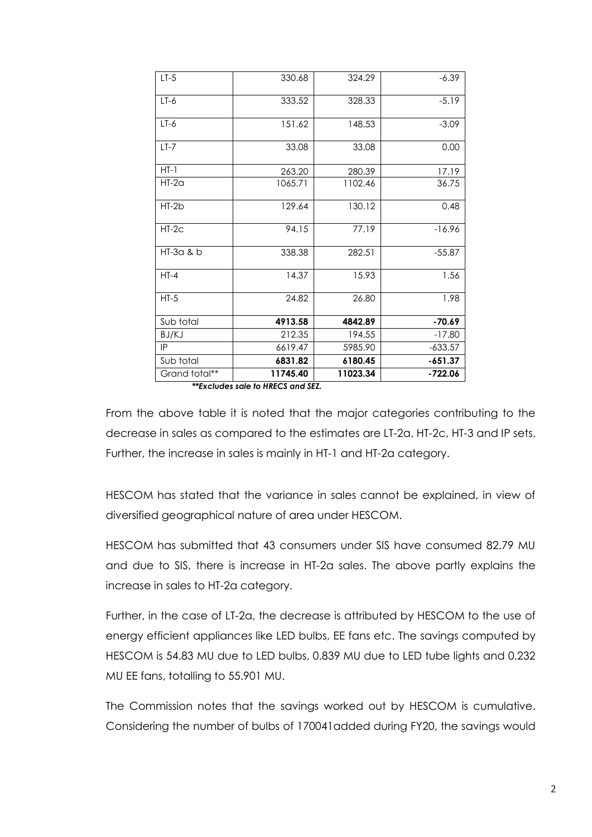| $LT-5$        | 330.68   | 324.29   | $-6.39$   |
|---------------|----------|----------|-----------|
| $LT-6$        | 333.52   | 328.33   | $-5.19$   |
| $LT-6$        | 151.62   | 148.53   | $-3.09$   |
| $LT-7$        | 33.08    | 33.08    | 0.00      |
| $HT-1$        | 263.20   | 280.39   | 17.19     |
| $HT-2a$       | 1065.71  | 1102.46  | 36.75     |
| $HT-2b$       | 129.64   | 130.12   | 0.48      |
| $HT-2C$       | 94.15    | 77.19    | $-16.96$  |
| HT-3a & b     | 338.38   | 282.51   | $-55.87$  |
| $HT-4$        | 14.37    | 15.93    | 1.56      |
| $HT-5$        | 24.82    | 26.80    | 1.98      |
| Sub total     | 4913.58  | 4842.89  | $-70.69$  |
| BJ/KJ         | 212.35   | 194.55   | $-17.80$  |
| IP            | 6619.47  | 5985.90  | $-633.57$ |
| Sub total     | 6831.82  | 6180.45  | $-651.37$ |
| Grand total** | 11745.40 | 11023.34 | $-722.06$ |

*\*\*Excludes sale to HRECS and SEZ.*

From the above table it is noted that the major categories contributing to the decrease in sales as compared to the estimates are LT-2a, HT-2c, HT-3 and IP sets. Further, the increase in sales is mainly in HT-1 and HT-2a category.

HESCOM has stated that the variance in sales cannot be explained, in view of diversified geographical nature of area under HESCOM.

HESCOM has submitted that 43 consumers under SIS have consumed 82.79 MU and due to SIS, there is increase in HT-2a sales. The above partly explains the increase in sales to HT-2a category.

Further, in the case of LT-2a, the decrease is attributed by HESCOM to the use of energy efficient appliances like LED bulbs, EE fans etc. The savings computed by HESCOM is 54.83 MU due to LED bulbs, 0.839 MU due to LED tube lights and 0.232 MU EE fans, totalling to 55.901 MU.

The Commission notes that the savings worked out by HESCOM is cumulative. Considering the number of bulbs of 170041added during FY20, the savings would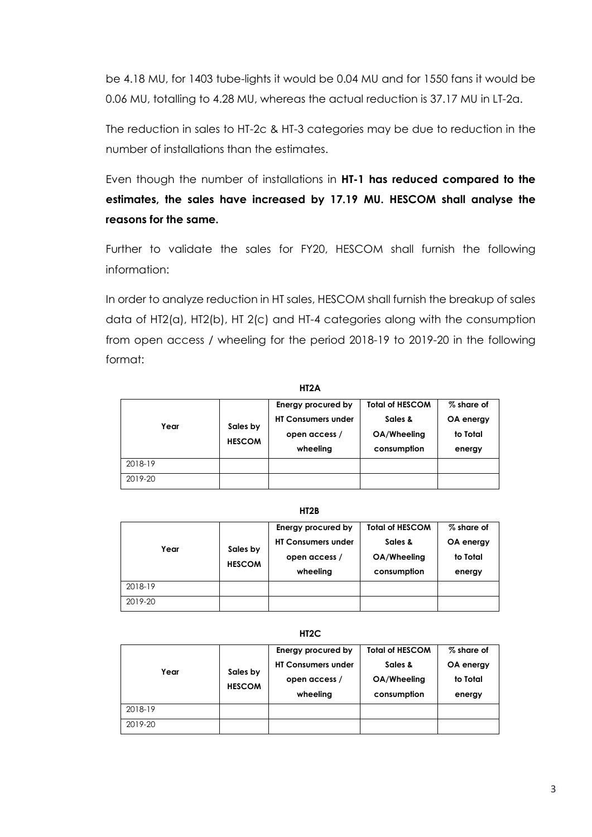be 4.18 MU, for 1403 tube-lights it would be 0.04 MU and for 1550 fans it would be 0.06 MU, totalling to 4.28 MU, whereas the actual reduction is 37.17 MU in LT-2a.

The reduction in sales to HT-2c & HT-3 categories may be due to reduction in the number of installations than the estimates.

Even though the number of installations in **HT-1 has reduced compared to the estimates, the sales have increased by 17.19 MU. HESCOM shall analyse the reasons for the same.**

Further to validate the sales for FY20, HESCOM shall furnish the following information:

In order to analyze reduction in HT sales, HESCOM shall furnish the breakup of sales data of HT2(a), HT2(b), HT 2(c) and HT-4 categories along with the consumption from open access / wheeling for the period 2018-19 to 2019-20 in the following format:

| Year    | Sales by<br><b>HESCOM</b> | Energy procured by<br><b>HT Consumers under</b><br>open access /<br>wheeling | <b>Total of HESCOM</b><br>Sales &<br>OA/Wheeling<br>consumption | % share of<br>OA energy<br>to Total<br>energy |
|---------|---------------------------|------------------------------------------------------------------------------|-----------------------------------------------------------------|-----------------------------------------------|
| 2018-19 |                           |                                                                              |                                                                 |                                               |
| 2019-20 |                           |                                                                              |                                                                 |                                               |

**HT2A**

#### **HT2B**

| Year    | Sales by<br><b>HESCOM</b> | Energy procured by<br><b>HT Consumers under</b><br>open access /<br>wheeling | <b>Total of HESCOM</b><br>Sales &<br>OA/Wheeling<br>consumption | % share of<br>OA energy<br>to Total<br>energy |
|---------|---------------------------|------------------------------------------------------------------------------|-----------------------------------------------------------------|-----------------------------------------------|
| 2018-19 |                           |                                                                              |                                                                 |                                               |
| 2019-20 |                           |                                                                              |                                                                 |                                               |

#### **HT2C**

| Year    | Sales by<br><b>HESCOM</b> | Energy procured by<br><b>HT Consumers under</b><br>open access /<br>wheeling | <b>Total of HESCOM</b><br>Sales &<br>OA/Wheeling<br>consumption | % share of<br>OA energy<br>to Total<br>energy |  |
|---------|---------------------------|------------------------------------------------------------------------------|-----------------------------------------------------------------|-----------------------------------------------|--|
| 2018-19 |                           |                                                                              |                                                                 |                                               |  |
| 2019-20 |                           |                                                                              |                                                                 |                                               |  |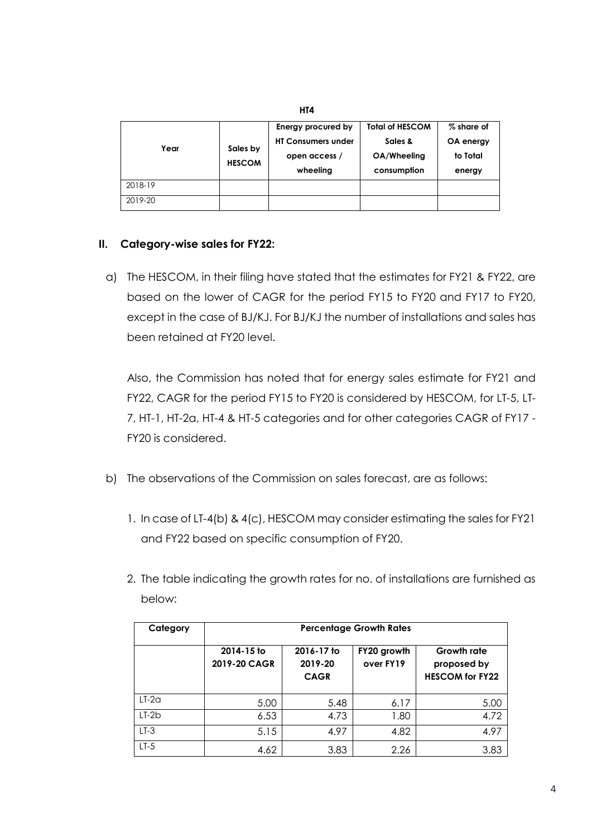| Year    | Sales by<br><b>HESCOM</b> | Energy procured by<br><b>HT Consumers under</b><br>open access /<br>wheeling | <b>Total of HESCOM</b><br>Sales &<br>OA/Wheeling<br>consumption | % share of<br>OA energy<br>to Total<br>energy |
|---------|---------------------------|------------------------------------------------------------------------------|-----------------------------------------------------------------|-----------------------------------------------|
| 2018-19 |                           |                                                                              |                                                                 |                                               |
| 2019-20 |                           |                                                                              |                                                                 |                                               |

**HT4**

#### **II. Category-wise sales for FY22:**

a) The HESCOM, in their filing have stated that the estimates for FY21 & FY22, are based on the lower of CAGR for the period FY15 to FY20 and FY17 to FY20, except in the case of BJ/KJ. For BJ/KJ the number of installations and sales has been retained at FY20 level.

Also, the Commission has noted that for energy sales estimate for FY21 and FY22, CAGR for the period FY15 to FY20 is considered by HESCOM, for LT-5, LT-7, HT-1, HT-2a, HT-4 & HT-5 categories and for other categories CAGR of FY17 - FY20 is considered.

- b) The observations of the Commission on sales forecast, are as follows:
	- 1. In case of LT-4(b) & 4(c), HESCOM may consider estimating the sales for FY21 and FY22 based on specific consumption of FY20.
	- 2. The table indicating the growth rates for no. of installations are furnished as below:

| Category | <b>Percentage Growth Rates</b> |                                      |                          |                                                             |  |  |
|----------|--------------------------------|--------------------------------------|--------------------------|-------------------------------------------------------------|--|--|
|          | 2014-15 to<br>2019-20 CAGR     | 2016-17 to<br>2019-20<br><b>CAGR</b> | FY20 growth<br>over FY19 | <b>Growth rate</b><br>proposed by<br><b>HESCOM for FY22</b> |  |  |
| $LT-2a$  | 5.00                           | 5.48                                 | 6.17                     | 5.00                                                        |  |  |
| $LT-2b$  | 6.53                           | 4.73                                 | 1.80                     | 4.72                                                        |  |  |
| $LT-3$   | 5.15                           | 4.97                                 | 4.82                     | 4.97                                                        |  |  |
| $LT-5$   | 4.62                           | 3.83                                 | 2.26                     | 3.83                                                        |  |  |

4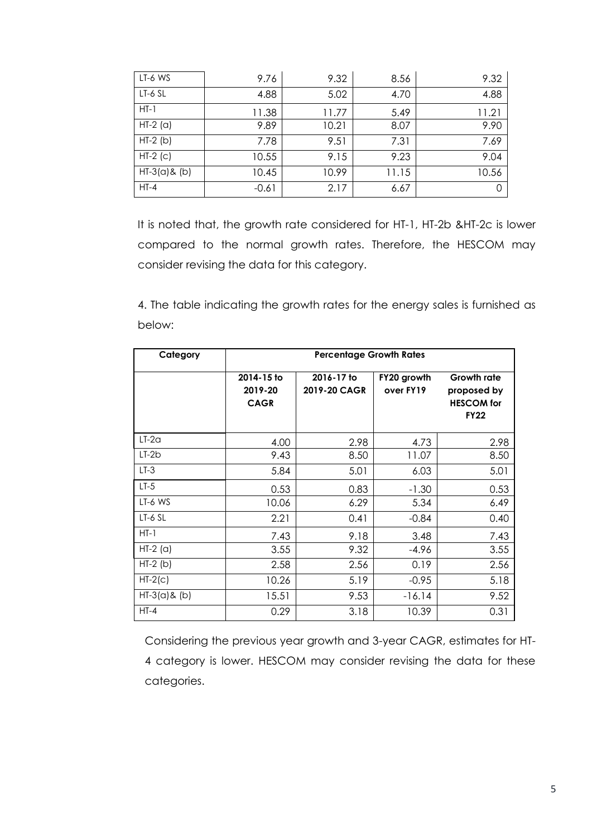| LT-6 WS         | 9.76    | 9.32  | 8.56  | 9.32  |
|-----------------|---------|-------|-------|-------|
| $LT-6$ SL       | 4.88    | 5.02  | 4.70  | 4.88  |
| $HT-1$          | 11.38   | 11.77 | 5.49  | 11.21 |
| $HT-2$ (a)      | 9.89    | 10.21 | 8.07  | 9.90  |
| $HT-2(b)$       | 7.78    | 9.51  | 7.31  | 7.69  |
| $HT-2$ (c)      | 10.55   | 9.15  | 9.23  | 9.04  |
| $HT-3(a)$ & (b) | 10.45   | 10.99 | 11.15 | 10.56 |
| $HT-4$          | $-0.61$ | 2.17  | 6.67  | 0     |

It is noted that, the growth rate considered for HT-1, HT-2b &HT-2c is lower compared to the normal growth rates. Therefore, the HESCOM may consider revising the data for this category.

4. The table indicating the growth rates for the energy sales is furnished as below:

| Category        | <b>Percentage Growth Rates</b>       |                            |                          |                                                                       |  |  |  |
|-----------------|--------------------------------------|----------------------------|--------------------------|-----------------------------------------------------------------------|--|--|--|
|                 | 2014-15 to<br>2019-20<br><b>CAGR</b> | 2016-17 to<br>2019-20 CAGR | FY20 growth<br>over FY19 | <b>Growth rate</b><br>proposed by<br><b>HESCOM</b> for<br><b>FY22</b> |  |  |  |
| $LT-2a$         | 4.00                                 | 2.98                       | 4.73                     | 2.98                                                                  |  |  |  |
| $LT-2b$         | 9.43                                 | 8.50                       | 11.07                    | 8.50                                                                  |  |  |  |
| $LT-3$          | 5.84                                 | 5.01                       | 6.03                     | 5.01                                                                  |  |  |  |
| $LT-5$          | 0.53                                 | 0.83                       | $-1.30$                  | 0.53                                                                  |  |  |  |
| LT-6 WS         | 10.06                                | 6.29                       | 5.34                     | 6.49                                                                  |  |  |  |
| LT-6 SL         | 2.21                                 | 0.41                       | $-0.84$                  | 0.40                                                                  |  |  |  |
| $HT-1$          | 7.43                                 | 9.18                       | 3.48                     | 7.43                                                                  |  |  |  |
| $HT-2$ (a)      | 3.55                                 | 9.32                       | $-4.96$                  | 3.55                                                                  |  |  |  |
| $HT-2(b)$       | 2.58                                 | 2.56                       | 0.19                     | 2.56                                                                  |  |  |  |
| $HT-2(c)$       | 10.26                                | 5.19                       | $-0.95$                  | 5.18                                                                  |  |  |  |
| $HT-3(a)$ & (b) | 15.51                                | 9.53                       | $-16.14$                 | 9.52                                                                  |  |  |  |
| $HT-4$          | 0.29                                 | 3.18                       | 10.39                    | 0.31                                                                  |  |  |  |

Considering the previous year growth and 3-year CAGR, estimates for HT-4 category is lower. HESCOM may consider revising the data for these categories.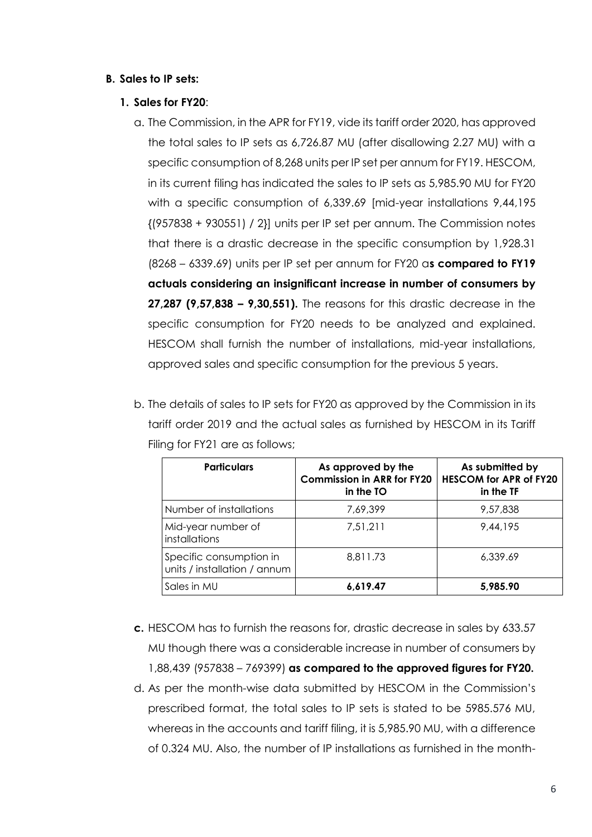#### **B. Sales to IP sets:**

#### **1. Sales for FY20**:

- a. The Commission, in the APR for FY19, vide its tariff order 2020, has approved the total sales to IP sets as 6,726.87 MU (after disallowing 2.27 MU) with a specific consumption of 8,268 units per IP set per annum for FY19. HESCOM, in its current filing has indicated the sales to IP sets as 5,985.90 MU for FY20 with a specific consumption of 6,339.69 [mid-year installations 9,44,195 {(957838 + 930551) / 2}] units per IP set per annum. The Commission notes that there is a drastic decrease in the specific consumption by 1,928.31 (8268 – 6339.69) units per IP set per annum for FY20 a**s compared to FY19 actuals considering an insignificant increase in number of consumers by 27,287 (9,57,838 – 9,30,551).** The reasons for this drastic decrease in the specific consumption for FY20 needs to be analyzed and explained. HESCOM shall furnish the number of installations, mid-year installations, approved sales and specific consumption for the previous 5 years.
- b. The details of sales to IP sets for FY20 as approved by the Commission in its tariff order 2019 and the actual sales as furnished by HESCOM in its Tariff Filing for FY21 are as follows;

| <b>Particulars</b>                                      | As approved by the<br><b>Commission in ARR for FY20</b><br>in the TO | As submitted by<br><b>HESCOM for APR of FY20</b><br>in the TF |
|---------------------------------------------------------|----------------------------------------------------------------------|---------------------------------------------------------------|
| Number of installations                                 | 7.69.399                                                             | 9.57.838                                                      |
| Mid-year number of<br><i>installations</i>              | 7.51.211                                                             | 9,44,195                                                      |
| Specific consumption in<br>units / installation / annum | 8.811.73                                                             | 6,339.69                                                      |
| Sales in MU                                             | 6,619.47                                                             | 5,985.90                                                      |

- **c.** HESCOM has to furnish the reasons for, drastic decrease in sales by 633.57 MU though there was a considerable increase in number of consumers by 1,88,439 (957838 – 769399) **as compared to the approved figures for FY20.**
- d. As per the month-wise data submitted by HESCOM in the Commission's prescribed format, the total sales to IP sets is stated to be 5985.576 MU, whereas in the accounts and tariff filing, it is 5,985.90 MU, with a difference of 0.324 MU. Also, the number of IP installations as furnished in the month-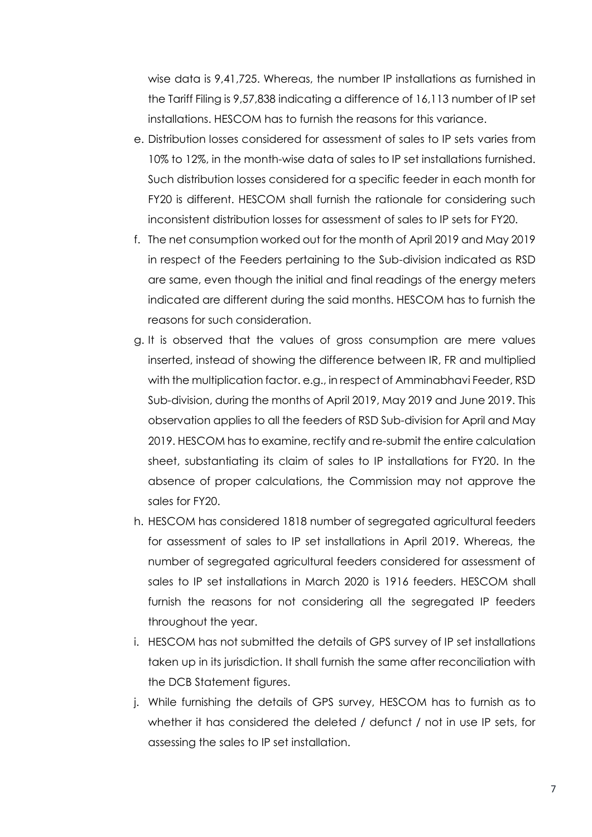wise data is 9,41,725. Whereas, the number IP installations as furnished in the Tariff Filing is 9,57,838 indicating a difference of 16,113 number of IP set installations. HESCOM has to furnish the reasons for this variance.

- e. Distribution losses considered for assessment of sales to IP sets varies from 10% to 12%, in the month-wise data of sales to IP set installations furnished. Such distribution losses considered for a specific feeder in each month for FY20 is different. HESCOM shall furnish the rationale for considering such inconsistent distribution losses for assessment of sales to IP sets for FY20.
- f. The net consumption worked out for the month of April 2019 and May 2019 in respect of the Feeders pertaining to the Sub-division indicated as RSD are same, even though the initial and final readings of the energy meters indicated are different during the said months. HESCOM has to furnish the reasons for such consideration.
- g. It is observed that the values of gross consumption are mere values inserted, instead of showing the difference between IR, FR and multiplied with the multiplication factor. e.g., in respect of Amminabhavi Feeder, RSD Sub-division, during the months of April 2019, May 2019 and June 2019. This observation applies to all the feeders of RSD Sub-division for April and May 2019. HESCOM has to examine, rectify and re-submit the entire calculation sheet, substantiating its claim of sales to IP installations for FY20. In the absence of proper calculations, the Commission may not approve the sales for FY20.
- h. HESCOM has considered 1818 number of segregated agricultural feeders for assessment of sales to IP set installations in April 2019. Whereas, the number of segregated agricultural feeders considered for assessment of sales to IP set installations in March 2020 is 1916 feeders. HESCOM shall furnish the reasons for not considering all the segregated IP feeders throughout the year.
- i. HESCOM has not submitted the details of GPS survey of IP set installations taken up in its jurisdiction. It shall furnish the same after reconciliation with the DCB Statement figures.
- j. While furnishing the details of GPS survey, HESCOM has to furnish as to whether it has considered the deleted / defunct / not in use IP sets, for assessing the sales to IP set installation.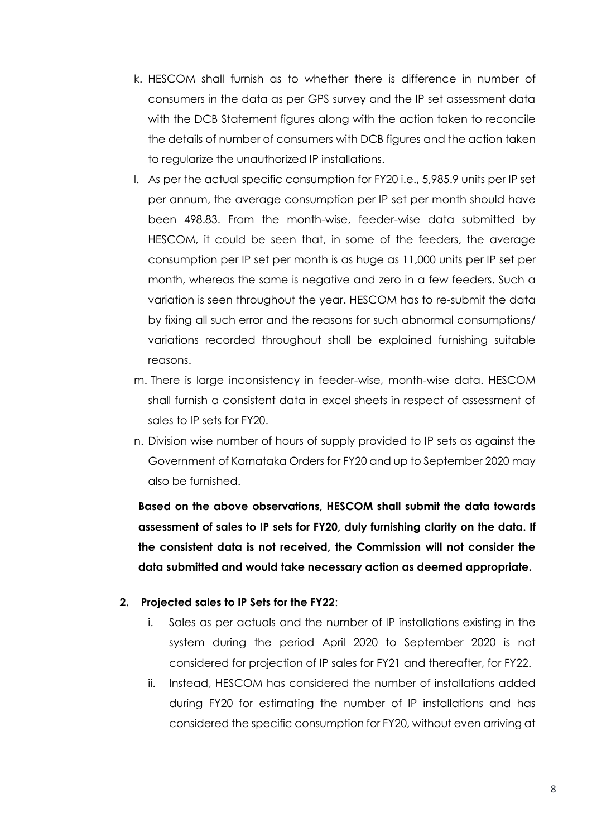- k. HESCOM shall furnish as to whether there is difference in number of consumers in the data as per GPS survey and the IP set assessment data with the DCB Statement figures along with the action taken to reconcile the details of number of consumers with DCB figures and the action taken to regularize the unauthorized IP installations.
- l. As per the actual specific consumption for FY20 i.e., 5,985.9 units per IP set per annum, the average consumption per IP set per month should have been 498.83. From the month-wise, feeder-wise data submitted by HESCOM, it could be seen that, in some of the feeders, the average consumption per IP set per month is as huge as 11,000 units per IP set per month, whereas the same is negative and zero in a few feeders. Such a variation is seen throughout the year. HESCOM has to re-submit the data by fixing all such error and the reasons for such abnormal consumptions/ variations recorded throughout shall be explained furnishing suitable reasons.
- m. There is large inconsistency in feeder-wise, month-wise data. HESCOM shall furnish a consistent data in excel sheets in respect of assessment of sales to IP sets for FY20.
- n. Division wise number of hours of supply provided to IP sets as against the Government of Karnataka Orders for FY20 and up to September 2020 may also be furnished.

**Based on the above observations, HESCOM shall submit the data towards assessment of sales to IP sets for FY20, duly furnishing clarity on the data. If the consistent data is not received, the Commission will not consider the data submitted and would take necessary action as deemed appropriate.** 

#### **2. Projected sales to IP Sets for the FY22**:

- i. Sales as per actuals and the number of IP installations existing in the system during the period April 2020 to September 2020 is not considered for projection of IP sales for FY21 and thereafter, for FY22.
- ii. Instead, HESCOM has considered the number of installations added during FY20 for estimating the number of IP installations and has considered the specific consumption for FY20, without even arriving at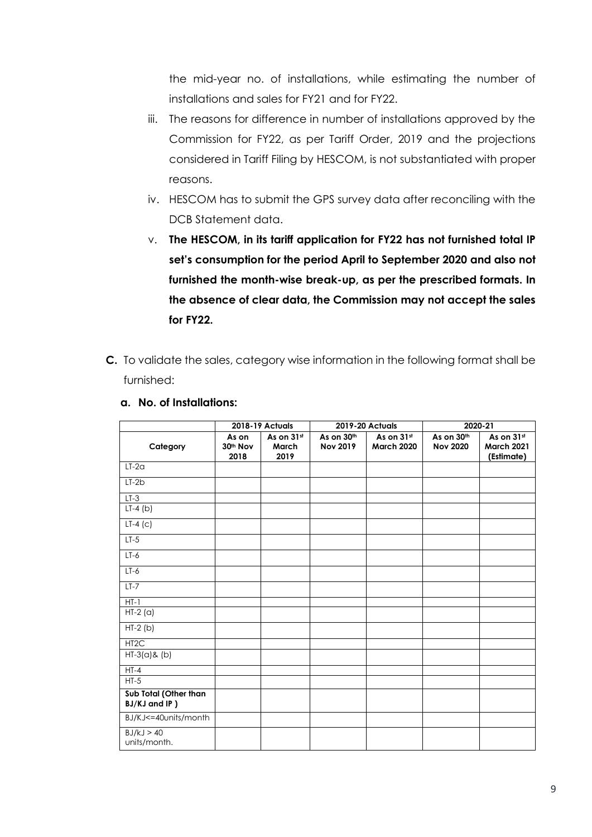the mid-year no. of installations, while estimating the number of installations and sales for FY21 and for FY22.

- iii. The reasons for difference in number of installations approved by the Commission for FY22, as per Tariff Order, 2019 and the projections considered in Tariff Filing by HESCOM, is not substantiated with proper reasons.
- iv. HESCOM has to submit the GPS survey data after reconciling with the DCB Statement data.
- v. **The HESCOM, in its tariff application for FY22 has not furnished total IP set's consumption for the period April to September 2020 and also not furnished the month-wise break-up, as per the prescribed formats. In the absence of clear data, the Commission may not accept the sales for FY22.**
- **C.** To validate the sales, category wise information in the following format shall be furnished:

|                                        |                                       | 2018-19 Actuals             |                               | <b>2019-20 Actuals</b>          |                               | 2020-21                                       |
|----------------------------------------|---------------------------------------|-----------------------------|-------------------------------|---------------------------------|-------------------------------|-----------------------------------------------|
| Category                               | As on<br>30 <sup>th</sup> Nov<br>2018 | As on 31st<br>March<br>2019 | As on 30th<br><b>Nov 2019</b> | As on 31st<br><b>March 2020</b> | As on 30th<br><b>Nov 2020</b> | As on 31st<br><b>March 2021</b><br>(Estimate) |
| $LT-2a$                                |                                       |                             |                               |                                 |                               |                                               |
| $LT-2b$                                |                                       |                             |                               |                                 |                               |                                               |
| $LT-3$                                 |                                       |                             |                               |                                 |                               |                                               |
| $LT-4$ (b)                             |                                       |                             |                               |                                 |                               |                                               |
| $LT-4$ (c)                             |                                       |                             |                               |                                 |                               |                                               |
| $LT-5$                                 |                                       |                             |                               |                                 |                               |                                               |
| $LT-6$                                 |                                       |                             |                               |                                 |                               |                                               |
| $LT-6$                                 |                                       |                             |                               |                                 |                               |                                               |
| $LT-7$                                 |                                       |                             |                               |                                 |                               |                                               |
| $HT - 1$                               |                                       |                             |                               |                                 |                               |                                               |
| $HT-2(a)$                              |                                       |                             |                               |                                 |                               |                                               |
| $HT-2(b)$                              |                                       |                             |                               |                                 |                               |                                               |
| HT <sub>2</sub> C                      |                                       |                             |                               |                                 |                               |                                               |
| $HT-3(a)$ & (b)                        |                                       |                             |                               |                                 |                               |                                               |
| $HT-4$                                 |                                       |                             |                               |                                 |                               |                                               |
| $HT-5$                                 |                                       |                             |                               |                                 |                               |                                               |
| Sub Total (Other than<br>BJ/KJ and IP) |                                       |                             |                               |                                 |                               |                                               |
| BJ/KJ<=40units/month                   |                                       |                             |                               |                                 |                               |                                               |
| BJ/kJ > 40<br>units/month.             |                                       |                             |                               |                                 |                               |                                               |

**a. No. of Installations:**

 $\mathbf{r}$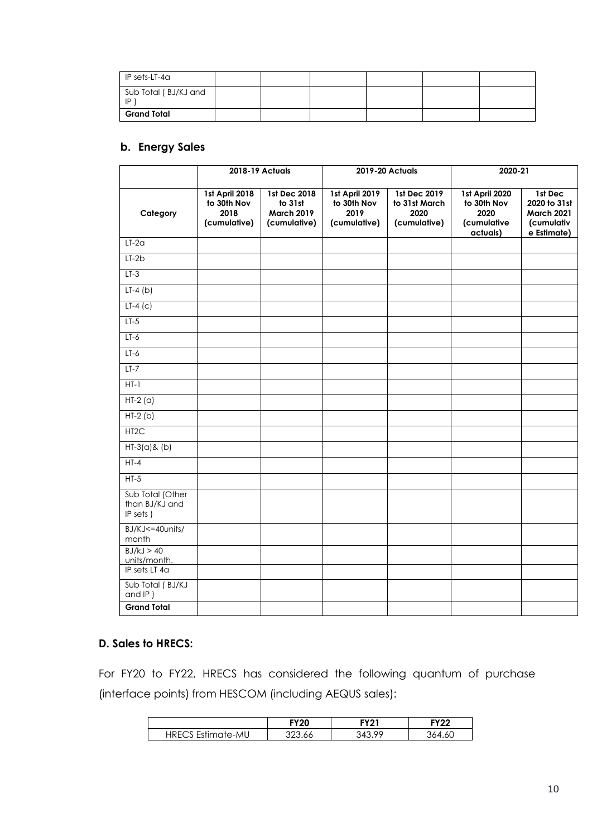| $IP$ sets-LT-4 $\alpha$                |  |  |  |
|----------------------------------------|--|--|--|
| Sub Total (BJ/KJ and<br>$\blacksquare$ |  |  |  |
| Grand Total                            |  |  |  |

## **b. Energy Sales**

|                                                |                                                       | 2018-19 Actuals                                                     |                                                       | 2019-20 Actuals                                              | 2020-21                                                          |                                                                           |
|------------------------------------------------|-------------------------------------------------------|---------------------------------------------------------------------|-------------------------------------------------------|--------------------------------------------------------------|------------------------------------------------------------------|---------------------------------------------------------------------------|
| Category                                       | 1st April 2018<br>to 30th Nov<br>2018<br>(cumulative) | <b>1st Dec 2018</b><br>to 31st<br><b>March 2019</b><br>(cumulative) | 1st April 2019<br>to 30th Nov<br>2019<br>(cumulative) | <b>1st Dec 2019</b><br>to 31st March<br>2020<br>(cumulative) | 1st April 2020<br>to 30th Nov<br>2020<br>(cumulative<br>actuals) | 1st Dec<br>2020 to 31st<br><b>March 2021</b><br>(cumulativ<br>e Estimate) |
| $LT-2a$                                        |                                                       |                                                                     |                                                       |                                                              |                                                                  |                                                                           |
| $LT-2b$                                        |                                                       |                                                                     |                                                       |                                                              |                                                                  |                                                                           |
| $LT-3$                                         |                                                       |                                                                     |                                                       |                                                              |                                                                  |                                                                           |
| $LT-4(b)$                                      |                                                       |                                                                     |                                                       |                                                              |                                                                  |                                                                           |
| $LT-4$ (c)                                     |                                                       |                                                                     |                                                       |                                                              |                                                                  |                                                                           |
| $LT-5$                                         |                                                       |                                                                     |                                                       |                                                              |                                                                  |                                                                           |
| $LT-6$                                         |                                                       |                                                                     |                                                       |                                                              |                                                                  |                                                                           |
| $LT-6$                                         |                                                       |                                                                     |                                                       |                                                              |                                                                  |                                                                           |
| $LT-7$                                         |                                                       |                                                                     |                                                       |                                                              |                                                                  |                                                                           |
| $HT-1$                                         |                                                       |                                                                     |                                                       |                                                              |                                                                  |                                                                           |
| $HT-2(a)$                                      |                                                       |                                                                     |                                                       |                                                              |                                                                  |                                                                           |
| $HT-2(b)$                                      |                                                       |                                                                     |                                                       |                                                              |                                                                  |                                                                           |
| HT <sub>2</sub> C                              |                                                       |                                                                     |                                                       |                                                              |                                                                  |                                                                           |
| $HT-3(a)$ & (b)                                |                                                       |                                                                     |                                                       |                                                              |                                                                  |                                                                           |
| $HT-4$                                         |                                                       |                                                                     |                                                       |                                                              |                                                                  |                                                                           |
| $HT-5$                                         |                                                       |                                                                     |                                                       |                                                              |                                                                  |                                                                           |
| Sub Total (Other<br>than BJ/KJ and<br>IP sets) |                                                       |                                                                     |                                                       |                                                              |                                                                  |                                                                           |
| BJ/KJ<=40units/<br>month                       |                                                       |                                                                     |                                                       |                                                              |                                                                  |                                                                           |
| BJ/kJ > 40<br>units/month.                     |                                                       |                                                                     |                                                       |                                                              |                                                                  |                                                                           |
| IP sets LT 4a                                  |                                                       |                                                                     |                                                       |                                                              |                                                                  |                                                                           |
| Sub Total (BJ/KJ<br>and $IP$ )                 |                                                       |                                                                     |                                                       |                                                              |                                                                  |                                                                           |
| <b>Grand Total</b>                             |                                                       |                                                                     |                                                       |                                                              |                                                                  |                                                                           |

#### **D. Sales to HRECS:**

For FY20 to FY22, HRECS has considered the following quantum of purchase (interface points) from HESCOM (including AEQUS sales):

|                          | <b>FY20</b> | FY21 | FYクク     |
|--------------------------|-------------|------|----------|
| <b>HRECS Estimate-MU</b> |             | ٥o   | 6C<br>АΔ |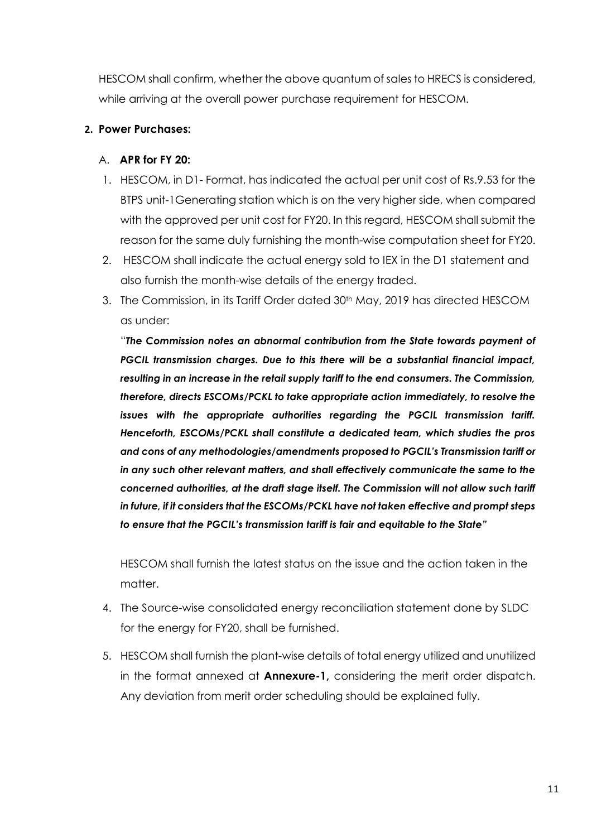HESCOM shall confirm, whether the above quantum of sales to HRECS is considered, while arriving at the overall power purchase requirement for HESCOM.

## **2. Power Purchases:**

## A. **APR for FY 20:**

- 1. HESCOM, in D1- Format, has indicated the actual per unit cost of Rs.9.53 for the BTPS unit-1Generating station which is on the very higher side, when compared with the approved per unit cost for FY20. In this regard, HESCOM shall submit the reason for the same duly furnishing the month-wise computation sheet for FY20.
- 2. HESCOM shall indicate the actual energy sold to IEX in the D1 statement and also furnish the month-wise details of the energy traded.
- 3. The Commission, in its Tariff Order dated 30<sup>th</sup> May, 2019 has directed HESCOM as under:

"*The Commission notes an abnormal contribution from the State towards payment of PGCIL transmission charges. Due to this there will be a substantial financial impact, resulting in an increase in the retail supply tariff to the end consumers. The Commission, therefore, directs ESCOMs/PCKL to take appropriate action immediately, to resolve the issues with the appropriate authorities regarding the PGCIL transmission tariff. Henceforth, ESCOMs/PCKL shall constitute a dedicated team, which studies the pros and cons of any methodologies/amendments proposed to PGCIL's Transmission tariff or in any such other relevant matters, and shall effectively communicate the same to the concerned authorities, at the draft stage itself. The Commission will not allow such tariff in future, if it considers that the ESCOMs/PCKL have not taken effective and prompt steps to ensure that the PGCIL's transmission tariff is fair and equitable to the State"* 

HESCOM shall furnish the latest status on the issue and the action taken in the matter.

- 4. The Source-wise consolidated energy reconciliation statement done by SLDC for the energy for FY20, shall be furnished.
- 5. HESCOM shall furnish the plant-wise details of total energy utilized and unutilized in the format annexed at **Annexure-1,** considering the merit order dispatch. Any deviation from merit order scheduling should be explained fully.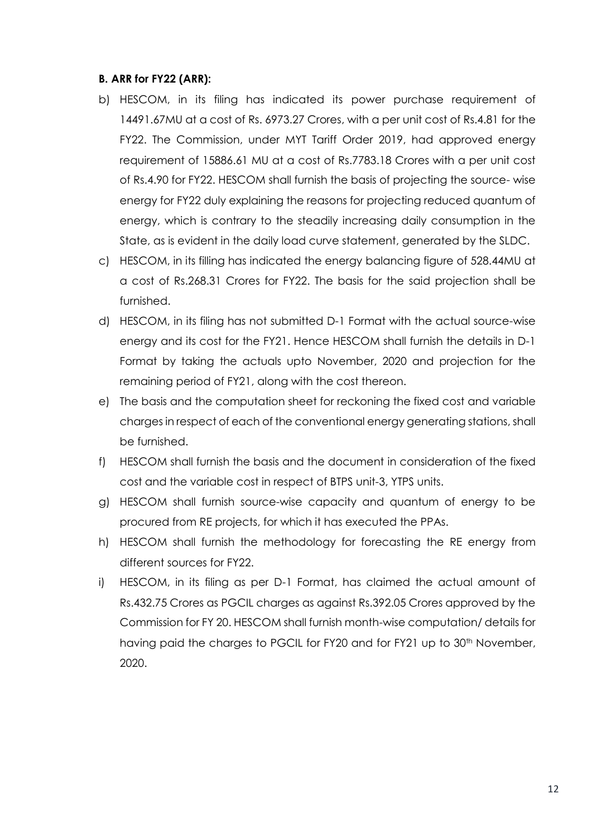#### **B. ARR for FY22 (ARR):**

- b) HESCOM, in its filing has indicated its power purchase requirement of 14491.67MU at a cost of Rs. 6973.27 Crores, with a per unit cost of Rs.4.81 for the FY22. The Commission, under MYT Tariff Order 2019, had approved energy requirement of 15886.61 MU at a cost of Rs.7783.18 Crores with a per unit cost of Rs.4.90 for FY22. HESCOM shall furnish the basis of projecting the source- wise energy for FY22 duly explaining the reasons for projecting reduced quantum of energy, which is contrary to the steadily increasing daily consumption in the State, as is evident in the daily load curve statement, generated by the SLDC.
- c) HESCOM, in its filling has indicated the energy balancing figure of 528.44MU at a cost of Rs.268.31 Crores for FY22. The basis for the said projection shall be furnished.
- d) HESCOM, in its filing has not submitted D-1 Format with the actual source-wise energy and its cost for the FY21. Hence HESCOM shall furnish the details in D-1 Format by taking the actuals upto November, 2020 and projection for the remaining period of FY21, along with the cost thereon.
- e) The basis and the computation sheet for reckoning the fixed cost and variable charges in respect of each of the conventional energy generating stations, shall be furnished.
- f) HESCOM shall furnish the basis and the document in consideration of the fixed cost and the variable cost in respect of BTPS unit-3, YTPS units.
- g) HESCOM shall furnish source-wise capacity and quantum of energy to be procured from RE projects, for which it has executed the PPAs.
- h) HESCOM shall furnish the methodology for forecasting the RE energy from different sources for FY22.
- i) HESCOM, in its filing as per D-1 Format, has claimed the actual amount of Rs.432.75 Crores as PGCIL charges as against Rs.392.05 Crores approved by the Commission for FY 20. HESCOM shall furnish month-wise computation/ details for having paid the charges to PGCIL for FY20 and for FY21 up to 30<sup>th</sup> November, 2020.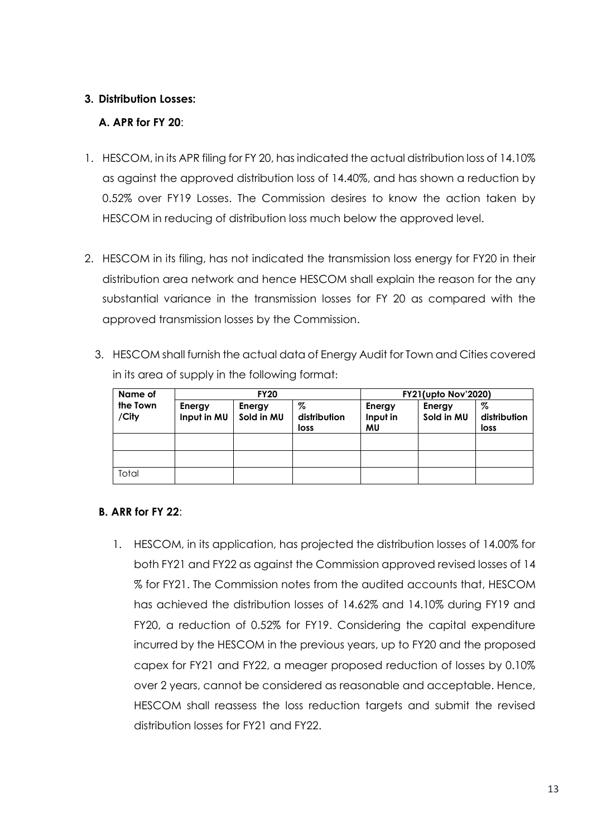## **3. Distribution Losses:**

## **A. APR for FY 20**:

- 1. HESCOM, in its APR filing for FY 20, has indicated the actual distribution loss of 14.10% as against the approved distribution loss of 14.40%, and has shown a reduction by 0.52% over FY19 Losses. The Commission desires to know the action taken by HESCOM in reducing of distribution loss much below the approved level.
- 2. HESCOM in its filing, has not indicated the transmission loss energy for FY20 in their distribution area network and hence HESCOM shall explain the reason for the any substantial variance in the transmission losses for FY 20 as compared with the approved transmission losses by the Commission.
	- 3. HESCOM shall furnish the actual data of Energy Audit for Town and Cities covered in its area of supply in the following format:

| Name of           |                       | <b>FY20</b>          |                           | <b>FY21(upto Nov'2020)</b> |                      |                           |
|-------------------|-----------------------|----------------------|---------------------------|----------------------------|----------------------|---------------------------|
| the Town<br>/City | Energy<br>Input in MU | Energy<br>Sold in MU | %<br>distribution<br>loss | Energy<br>Input in<br>MU   | Energy<br>Sold in MU | %<br>distribution<br>loss |
|                   |                       |                      |                           |                            |                      |                           |
|                   |                       |                      |                           |                            |                      |                           |
| Total             |                       |                      |                           |                            |                      |                           |

#### **B. ARR for FY 22**:

1. HESCOM, in its application, has projected the distribution losses of 14.00% for both FY21 and FY22 as against the Commission approved revised losses of 14 % for FY21. The Commission notes from the audited accounts that, HESCOM has achieved the distribution losses of 14.62% and 14.10% during FY19 and FY20, a reduction of 0.52% for FY19. Considering the capital expenditure incurred by the HESCOM in the previous years, up to FY20 and the proposed capex for FY21 and FY22, a meager proposed reduction of losses by 0.10% over 2 years, cannot be considered as reasonable and acceptable. Hence, HESCOM shall reassess the loss reduction targets and submit the revised distribution losses for FY21 and FY22.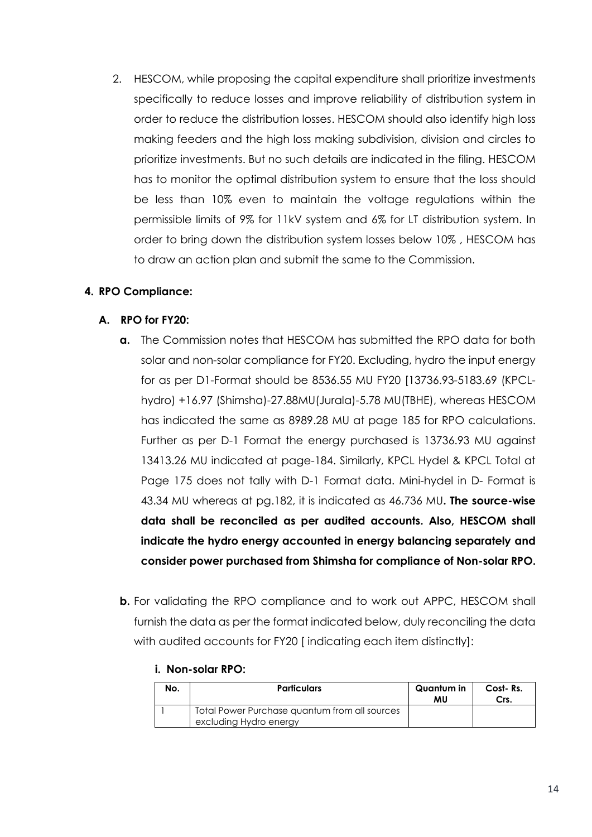2. HESCOM, while proposing the capital expenditure shall prioritize investments specifically to reduce losses and improve reliability of distribution system in order to reduce the distribution losses. HESCOM should also identify high loss making feeders and the high loss making subdivision, division and circles to prioritize investments. But no such details are indicated in the filing. HESCOM has to monitor the optimal distribution system to ensure that the loss should be less than 10% even to maintain the voltage regulations within the permissible limits of 9% for 11kV system and 6% for LT distribution system. In order to bring down the distribution system losses below 10% , HESCOM has to draw an action plan and submit the same to the Commission.

## **4. RPO Compliance:**

## **A. RPO for FY20:**

- **a.** The Commission notes that HESCOM has submitted the RPO data for both solar and non-solar compliance for FY20. Excluding, hydro the input energy for as per D1-Format should be 8536.55 MU FY20 [13736.93-5183.69 (KPCLhydro) +16.97 (Shimsha)-27.88MU(Jurala)-5.78 MU(TBHE), whereas HESCOM has indicated the same as 8989.28 MU at page 185 for RPO calculations. Further as per D-1 Format the energy purchased is 13736.93 MU against 13413.26 MU indicated at page-184. Similarly, KPCL Hydel & KPCL Total at Page 175 does not tally with D-1 Format data. Mini-hydel in D- Format is 43.34 MU whereas at pg.182, it is indicated as 46.736 MU**. The source-wise data shall be reconciled as per audited accounts. Also, HESCOM shall indicate the hydro energy accounted in energy balancing separately and consider power purchased from Shimsha for compliance of Non-solar RPO.**
- **b.** For validating the RPO compliance and to work out APPC, HESCOM shall furnish the data as per the format indicated below, duly reconciling the data with audited accounts for FY20 [indicating each item distinctly]:

## **i. Non-solar RPO:**

| No. | <b>Particulars</b>                                                      | Quantum in<br>MU | Cost-Rs.<br>Crs. |
|-----|-------------------------------------------------------------------------|------------------|------------------|
|     | Total Power Purchase quantum from all sources<br>excluding Hydro energy |                  |                  |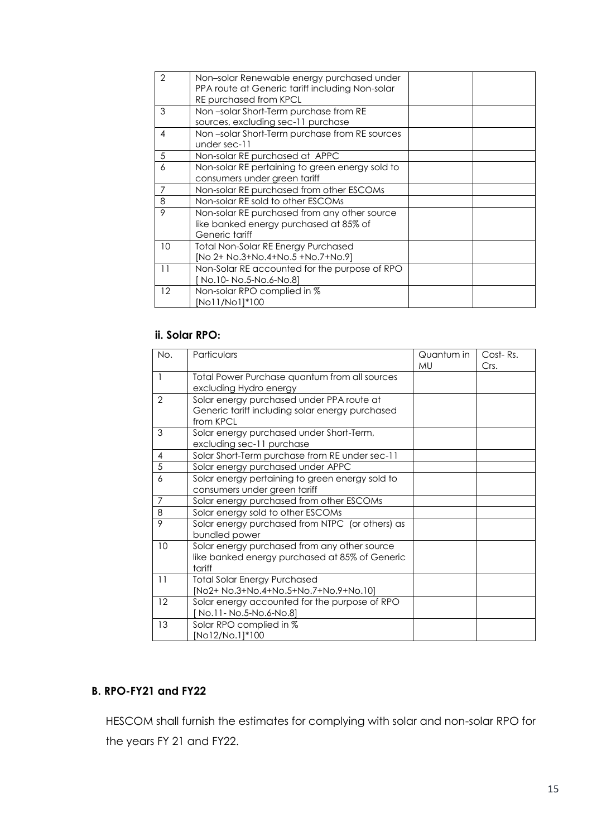| $\overline{2}$ | Non-solar Renewable energy purchased under<br>PPA route at Generic tariff including Non-solar<br><b>RE purchased from KPCL</b> |  |
|----------------|--------------------------------------------------------------------------------------------------------------------------------|--|
| 3              | Non-solar Short-Term purchase from RE<br>sources, excluding sec-11 purchase                                                    |  |
| 4              | Non-solar Short-Term purchase from RE sources<br>under sec-11                                                                  |  |
| 5              | Non-solar RE purchased at APPC                                                                                                 |  |
| 6              | Non-solar RE pertaining to green energy sold to<br>consumers under green tariff                                                |  |
| 7              | Non-solar RE purchased from other ESCOMs                                                                                       |  |
| 8              | Non-solar RE sold to other ESCOMs                                                                                              |  |
| 9              | Non-solar RE purchased from any other source<br>like banked energy purchased at 85% of<br>Generic tariff                       |  |
| 10             | Total Non-Solar RE Energy Purchased<br>[No 2+ No.3+No.4+No.5 +No.7+No.9]                                                       |  |
| 11             | Non-Solar RE accounted for the purpose of RPO<br>No.10- No.5-No.6-No.8]                                                        |  |
| 12             | Non-solar RPO complied in %<br>[No11/No1]*100                                                                                  |  |

## **ii. Solar RPO:**

| No.                      | Particulars                                                                                               | Quantum in<br>MU | Cost-Rs.<br>Crs. |
|--------------------------|-----------------------------------------------------------------------------------------------------------|------------------|------------------|
| $\overline{\phantom{a}}$ | Total Power Purchase quantum from all sources<br>excluding Hydro energy                                   |                  |                  |
| 2                        | Solar energy purchased under PPA route at<br>Generic tariff including solar energy purchased<br>from KPCL |                  |                  |
| 3                        | Solar energy purchased under Short-Term,<br>excluding sec-11 purchase                                     |                  |                  |
| $\overline{4}$           | Solar Short-Term purchase from RE under sec-11                                                            |                  |                  |
| 5                        | Solar energy purchased under APPC                                                                         |                  |                  |
| 6                        | Solar energy pertaining to green energy sold to<br>consumers under green tariff                           |                  |                  |
| 7                        | Solar energy purchased from other ESCOMs                                                                  |                  |                  |
| 8                        | Solar energy sold to other ESCOMs                                                                         |                  |                  |
| 9                        | Solar energy purchased from NTPC (or others) as<br>bundled power                                          |                  |                  |
| 10                       | Solar energy purchased from any other source<br>like banked energy purchased at 85% of Generic<br>tariff  |                  |                  |
| 11                       | <b>Total Solar Energy Purchased</b><br>[No2+ No.3+No.4+No.5+No.7+No.9+No.10]                              |                  |                  |
| 12                       | Solar energy accounted for the purpose of RPO<br>[No.11- No.5-No.6-No.8]                                  |                  |                  |
| 13                       | Solar RPO complied in %<br>[No12/No.1]*100                                                                |                  |                  |

## **B. RPO-FY21 and FY22**

HESCOM shall furnish the estimates for complying with solar and non-solar RPO for the years FY 21 and FY22.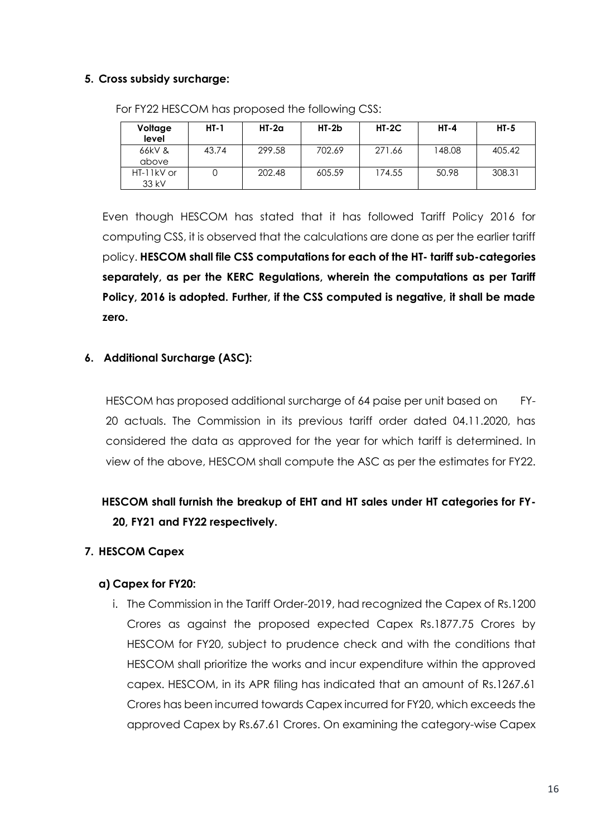## **5. Cross subsidy surcharge:**

| Voltage<br>level    | $HT-1$ | $HI-2a$ | $HT-2b$ | $HT-2C$ | $HT-4$ | $HT-5$ |
|---------------------|--------|---------|---------|---------|--------|--------|
| 66kV &<br>above     | 43.74  | 299.58  | 702.69  | 271.66  | 148.08 | 405.42 |
| HT-11kV or<br>33 kV |        | 202.48  | 605.59  | 174.55  | 50.98  | 308.31 |

For FY22 HESCOM has proposed the following CSS:

Even though HESCOM has stated that it has followed Tariff Policy 2016 for computing CSS, it is observed that the calculations are done as per the earlier tariff policy. **HESCOM shall file CSS computations for each of the HT- tariff sub-categories separately, as per the KERC Regulations, wherein the computations as per Tariff Policy, 2016 is adopted. Further, if the CSS computed is negative, it shall be made zero.**

## **6. Additional Surcharge (ASC):**

HESCOM has proposed additional surcharge of 64 paise per unit based on FY-20 actuals. The Commission in its previous tariff order dated 04.11.2020, has considered the data as approved for the year for which tariff is determined. In view of the above, HESCOM shall compute the ASC as per the estimates for FY22.

# **HESCOM shall furnish the breakup of EHT and HT sales under HT categories for FY-20, FY21 and FY22 respectively.**

## **7. HESCOM Capex**

## **a) Capex for FY20:**

i. The Commission in the Tariff Order-2019, had recognized the Capex of Rs.1200 Crores as against the proposed expected Capex Rs.1877.75 Crores by HESCOM for FY20, subject to prudence check and with the conditions that HESCOM shall prioritize the works and incur expenditure within the approved capex. HESCOM, in its APR filing has indicated that an amount of Rs.1267.61 Crores has been incurred towards Capex incurred for FY20, which exceeds the approved Capex by Rs.67.61 Crores. On examining the category-wise Capex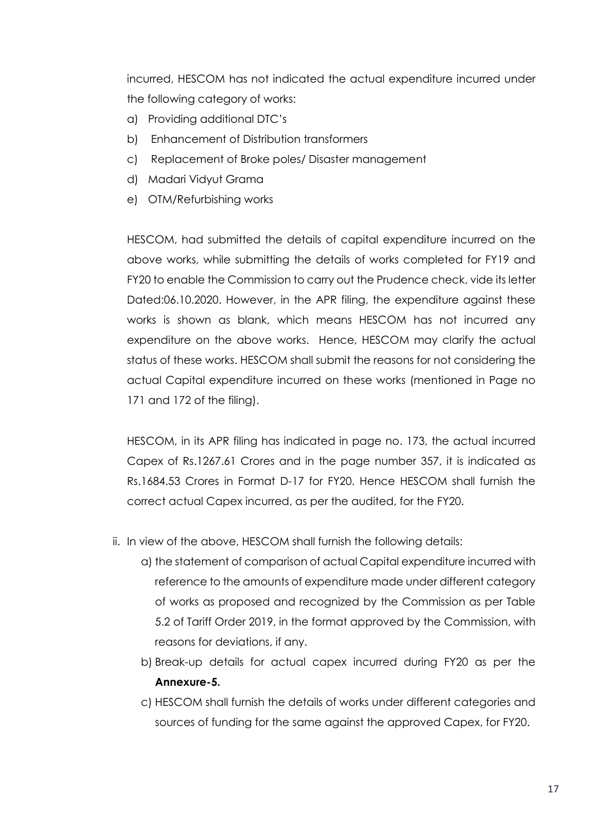incurred, HESCOM has not indicated the actual expenditure incurred under the following category of works:

- a) Providing additional DTC's
- b) Enhancement of Distribution transformers
- c) Replacement of Broke poles/ Disaster management
- d) Madari Vidyut Grama
- e) OTM/Refurbishing works

HESCOM, had submitted the details of capital expenditure incurred on the above works, while submitting the details of works completed for FY19 and FY20 to enable the Commission to carry out the Prudence check, vide its letter Dated:06.10.2020. However, in the APR filing, the expenditure against these works is shown as blank, which means HESCOM has not incurred any expenditure on the above works. Hence, HESCOM may clarify the actual status of these works. HESCOM shall submit the reasons for not considering the actual Capital expenditure incurred on these works (mentioned in Page no 171 and 172 of the filing).

HESCOM, in its APR filing has indicated in page no. 173, the actual incurred Capex of Rs.1267.61 Crores and in the page number 357, it is indicated as Rs.1684.53 Crores in Format D-17 for FY20. Hence HESCOM shall furnish the correct actual Capex incurred, as per the audited, for the FY20.

- ii. In view of the above, HESCOM shall furnish the following details:
	- a) the statement of comparison of actual Capital expenditure incurred with reference to the amounts of expenditure made under different category of works as proposed and recognized by the Commission as per Table 5.2 of Tariff Order 2019, in the format approved by the Commission, with reasons for deviations, if any.
	- b) Break-up details for actual capex incurred during FY20 as per the **Annexure-5.**
	- c) HESCOM shall furnish the details of works under different categories and sources of funding for the same against the approved Capex, for FY20.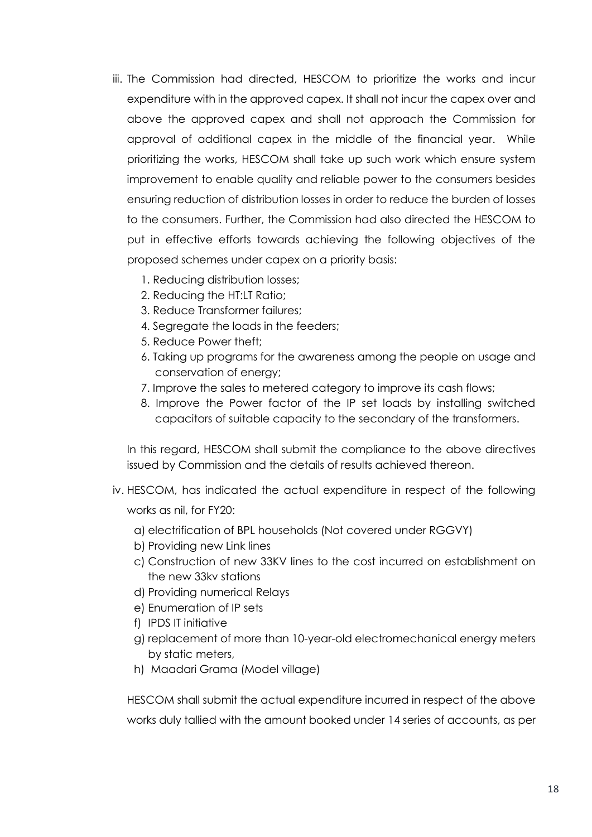- iii. The Commission had directed, HESCOM to prioritize the works and incur expenditure with in the approved capex. It shall not incur the capex over and above the approved capex and shall not approach the Commission for approval of additional capex in the middle of the financial year. While prioritizing the works, HESCOM shall take up such work which ensure system improvement to enable quality and reliable power to the consumers besides ensuring reduction of distribution losses in order to reduce the burden of losses to the consumers. Further, the Commission had also directed the HESCOM to put in effective efforts towards achieving the following objectives of the proposed schemes under capex on a priority basis:
	- 1. Reducing distribution losses;
	- 2. Reducing the HT:LT Ratio;
	- 3. Reduce Transformer failures;
	- 4. Segregate the loads in the feeders:
	- 5. Reduce Power theft;
	- 6. Taking up programs for the awareness among the people on usage and conservation of energy;
	- 7. Improve the sales to metered category to improve its cash flows;
	- 8. Improve the Power factor of the IP set loads by installing switched capacitors of suitable capacity to the secondary of the transformers.

In this regard, HESCOM shall submit the compliance to the above directives issued by Commission and the details of results achieved thereon.

- iv. HESCOM, has indicated the actual expenditure in respect of the following works as nil, for FY20:
	- a) electrification of BPL households (Not covered under RGGVY)
	- b) Providing new Link lines
	- c) Construction of new 33KV lines to the cost incurred on establishment on the new 33kv stations
	- d) Providing numerical Relays
	- e) Enumeration of IP sets
	- f) IPDS IT initiative
	- g) replacement of more than 10-year-old electromechanical energy meters by static meters,
	- h) Maadari Grama (Model village)

HESCOM shall submit the actual expenditure incurred in respect of the above works duly tallied with the amount booked under 14 series of accounts, as per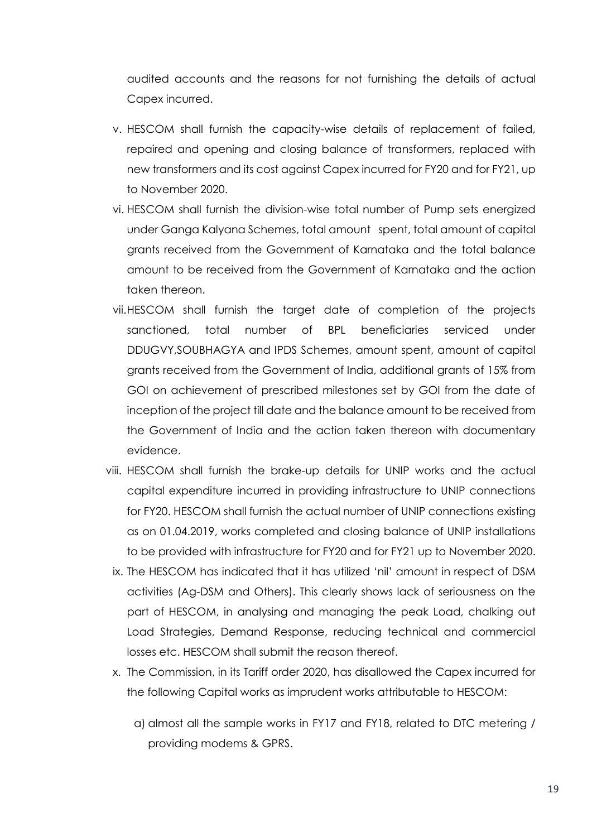audited accounts and the reasons for not furnishing the details of actual Capex incurred.

- v. HESCOM shall furnish the capacity-wise details of replacement of failed, repaired and opening and closing balance of transformers, replaced with new transformers and its cost against Capex incurred for FY20 and for FY21, up to November 2020.
- vi. HESCOM shall furnish the division-wise total number of Pump sets energized under Ganga Kalyana Schemes, total amount spent, total amount of capital grants received from the Government of Karnataka and the total balance amount to be received from the Government of Karnataka and the action taken thereon.
- vii.HESCOM shall furnish the target date of completion of the projects sanctioned, total number of BPL beneficiaries serviced under DDUGVY,SOUBHAGYA and IPDS Schemes, amount spent, amount of capital grants received from the Government of India, additional grants of 15% from GOI on achievement of prescribed milestones set by GOI from the date of inception of the project till date and the balance amount to be received from the Government of India and the action taken thereon with documentary evidence.
- viii. HESCOM shall furnish the brake-up details for UNIP works and the actual capital expenditure incurred in providing infrastructure to UNIP connections for FY20. HESCOM shall furnish the actual number of UNIP connections existing as on 01.04.2019, works completed and closing balance of UNIP installations to be provided with infrastructure for FY20 and for FY21 up to November 2020.
- ix. The HESCOM has indicated that it has utilized 'nil' amount in respect of DSM activities (Ag-DSM and Others). This clearly shows lack of seriousness on the part of HESCOM, in analysing and managing the peak Load, chalking out Load Strategies, Demand Response, reducing technical and commercial losses etc. HESCOM shall submit the reason thereof.
- x. The Commission, in its Tariff order 2020, has disallowed the Capex incurred for the following Capital works as imprudent works attributable to HESCOM:
	- a) almost all the sample works in FY17 and FY18, related to DTC metering / providing modems & GPRS.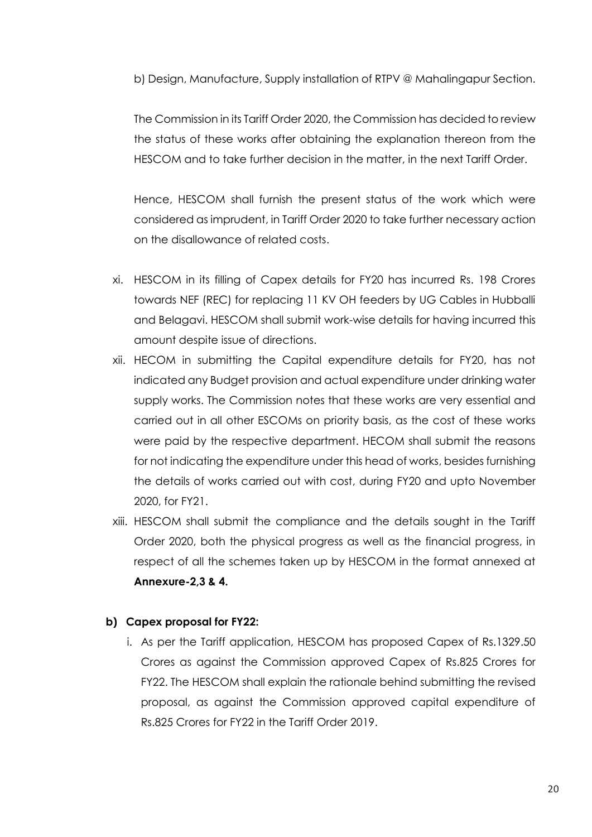b) Design, Manufacture, Supply installation of RTPV @ Mahalingapur Section.

The Commission in its Tariff Order 2020, the Commission has decided to review the status of these works after obtaining the explanation thereon from the HESCOM and to take further decision in the matter, in the next Tariff Order.

Hence, HESCOM shall furnish the present status of the work which were considered as imprudent, in Tariff Order 2020 to take further necessary action on the disallowance of related costs.

- xi. HESCOM in its filling of Capex details for FY20 has incurred Rs. 198 Crores towards NEF (REC) for replacing 11 KV OH feeders by UG Cables in Hubballi and Belagavi. HESCOM shall submit work-wise details for having incurred this amount despite issue of directions.
- xii. HECOM in submitting the Capital expenditure details for FY20, has not indicated any Budget provision and actual expenditure under drinking water supply works. The Commission notes that these works are very essential and carried out in all other ESCOMs on priority basis, as the cost of these works were paid by the respective department. HECOM shall submit the reasons for not indicating the expenditure under this head of works, besides furnishing the details of works carried out with cost, during FY20 and upto November 2020, for FY21.
- xiii. HESCOM shall submit the compliance and the details sought in the Tariff Order 2020, both the physical progress as well as the financial progress, in respect of all the schemes taken up by HESCOM in the format annexed at **Annexure-2,3 & 4.**

#### **b) Capex proposal for FY22:**

i. As per the Tariff application, HESCOM has proposed Capex of Rs.1329.50 Crores as against the Commission approved Capex of Rs.825 Crores for FY22. The HESCOM shall explain the rationale behind submitting the revised proposal, as against the Commission approved capital expenditure of Rs.825 Crores for FY22 in the Tariff Order 2019.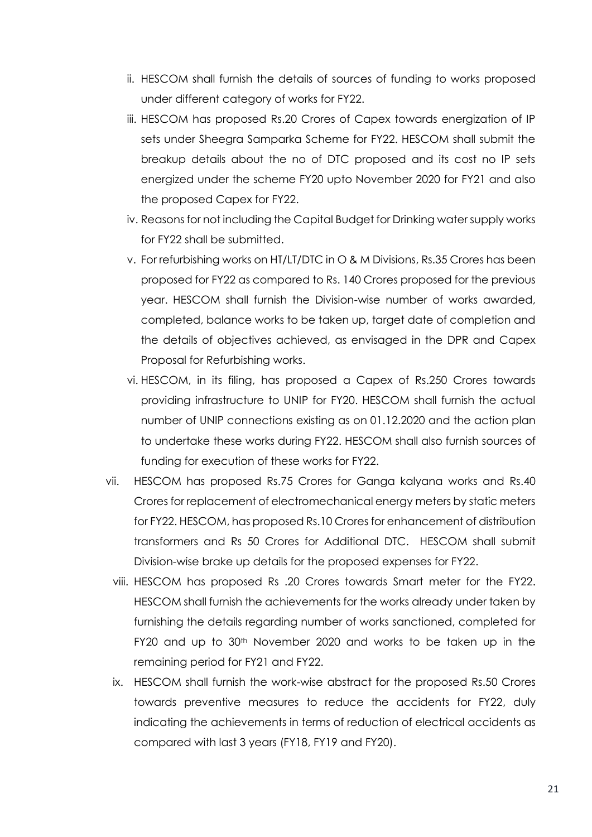- ii. HESCOM shall furnish the details of sources of funding to works proposed under different category of works for FY22.
- iii. HESCOM has proposed Rs.20 Crores of Capex towards energization of IP sets under Sheegra Samparka Scheme for FY22. HESCOM shall submit the breakup details about the no of DTC proposed and its cost no IP sets energized under the scheme FY20 upto November 2020 for FY21 and also the proposed Capex for FY22.
- iv. Reasons for not including the Capital Budget for Drinking water supply works for FY22 shall be submitted.
- v. For refurbishing works on HT/LT/DTC in O & M Divisions, Rs.35 Crores has been proposed for FY22 as compared to Rs. 140 Crores proposed for the previous year. HESCOM shall furnish the Division-wise number of works awarded, completed, balance works to be taken up, target date of completion and the details of objectives achieved, as envisaged in the DPR and Capex Proposal for Refurbishing works.
- vi. HESCOM, in its filing, has proposed a Capex of Rs.250 Crores towards providing infrastructure to UNIP for FY20. HESCOM shall furnish the actual number of UNIP connections existing as on 01.12.2020 and the action plan to undertake these works during FY22. HESCOM shall also furnish sources of funding for execution of these works for FY22.
- vii. HESCOM has proposed Rs.75 Crores for Ganga kalyana works and Rs.40 Crores for replacement of electromechanical energy meters by static meters for FY22. HESCOM, has proposed Rs.10 Crores for enhancement of distribution transformers and Rs 50 Crores for Additional DTC. HESCOM shall submit Division-wise brake up details for the proposed expenses for FY22.
	- viii. HESCOM has proposed Rs .20 Crores towards Smart meter for the FY22. HESCOM shall furnish the achievements for the works already under taken by furnishing the details regarding number of works sanctioned, completed for FY20 and up to 30<sup>th</sup> November 2020 and works to be taken up in the remaining period for FY21 and FY22.
	- ix. HESCOM shall furnish the work-wise abstract for the proposed Rs.50 Crores towards preventive measures to reduce the accidents for FY22, duly indicating the achievements in terms of reduction of electrical accidents as compared with last 3 years (FY18, FY19 and FY20).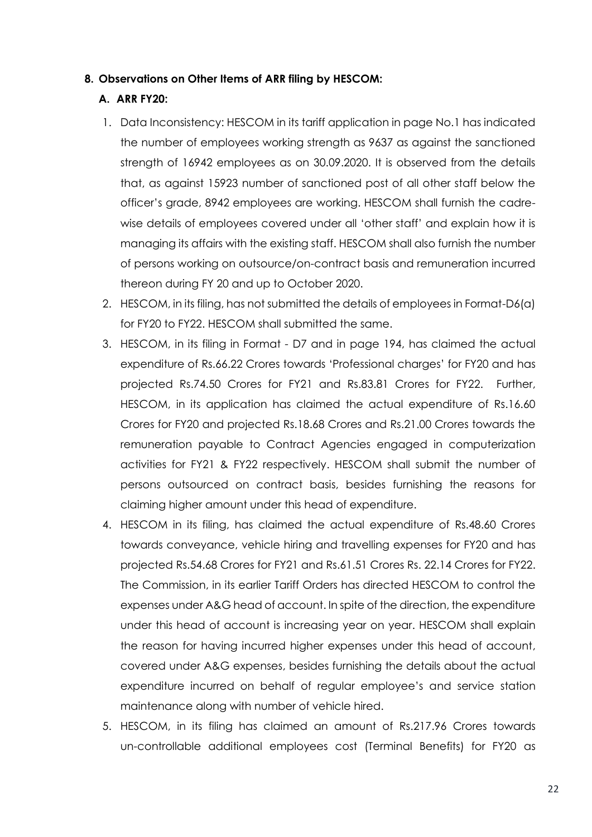#### **8. Observations on Other Items of ARR filing by HESCOM:**

#### **A. ARR FY20:**

- 1. Data Inconsistency: HESCOM in its tariff application in page No.1 has indicated the number of employees working strength as 9637 as against the sanctioned strength of 16942 employees as on 30.09.2020. It is observed from the details that, as against 15923 number of sanctioned post of all other staff below the officer's grade, 8942 employees are working. HESCOM shall furnish the cadrewise details of employees covered under all 'other staff' and explain how it is managing its affairs with the existing staff. HESCOM shall also furnish the number of persons working on outsource/on-contract basis and remuneration incurred thereon during FY 20 and up to October 2020.
- 2. HESCOM, in its filing, has not submitted the details of employees in Format-D6(a) for FY20 to FY22. HESCOM shall submitted the same.
- 3. HESCOM, in its filing in Format D7 and in page 194, has claimed the actual expenditure of Rs.66.22 Crores towards 'Professional charges' for FY20 and has projected Rs.74.50 Crores for FY21 and Rs.83.81 Crores for FY22. Further, HESCOM, in its application has claimed the actual expenditure of Rs.16.60 Crores for FY20 and projected Rs.18.68 Crores and Rs.21.00 Crores towards the remuneration payable to Contract Agencies engaged in computerization activities for FY21 & FY22 respectively. HESCOM shall submit the number of persons outsourced on contract basis, besides furnishing the reasons for claiming higher amount under this head of expenditure.
- 4. HESCOM in its filing, has claimed the actual expenditure of Rs.48.60 Crores towards conveyance, vehicle hiring and travelling expenses for FY20 and has projected Rs.54.68 Crores for FY21 and Rs.61.51 Crores Rs. 22.14 Crores for FY22. The Commission, in its earlier Tariff Orders has directed HESCOM to control the expenses under A&G head of account. In spite of the direction, the expenditure under this head of account is increasing year on year. HESCOM shall explain the reason for having incurred higher expenses under this head of account, covered under A&G expenses, besides furnishing the details about the actual expenditure incurred on behalf of regular employee's and service station maintenance along with number of vehicle hired.
- 5. HESCOM, in its filing has claimed an amount of Rs.217.96 Crores towards un-controllable additional employees cost (Terminal Benefits) for FY20 as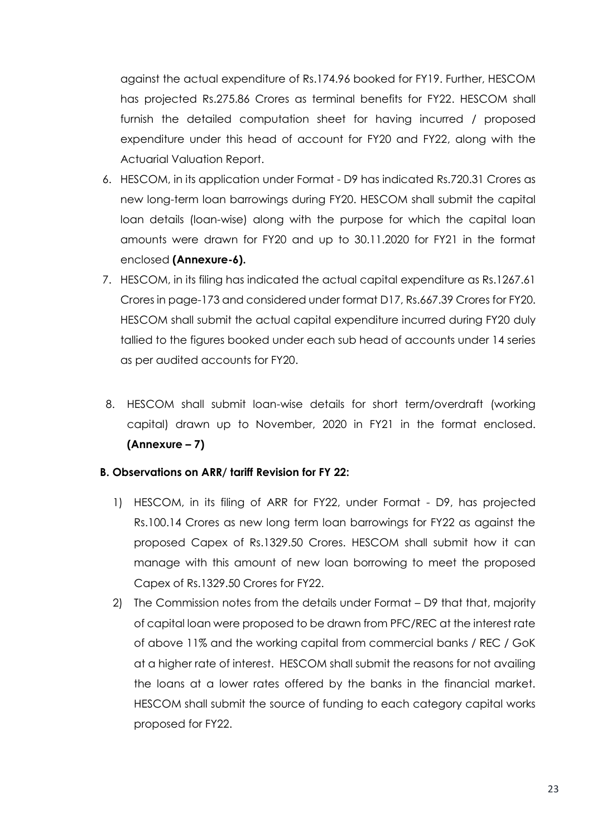against the actual expenditure of Rs.174.96 booked for FY19. Further, HESCOM has projected Rs.275.86 Crores as terminal benefits for FY22. HESCOM shall furnish the detailed computation sheet for having incurred / proposed expenditure under this head of account for FY20 and FY22, along with the Actuarial Valuation Report.

- 6. HESCOM, in its application under Format D9 has indicated Rs.720.31 Crores as new long-term loan barrowings during FY20. HESCOM shall submit the capital loan details (loan-wise) along with the purpose for which the capital loan amounts were drawn for FY20 and up to 30.11.2020 for FY21 in the format enclosed **(Annexure-6).**
- 7. HESCOM, in its filing has indicated the actual capital expenditure as Rs.1267.61 Crores in page-173 and considered under format D17, Rs.667.39 Crores for FY20. HESCOM shall submit the actual capital expenditure incurred during FY20 duly tallied to the figures booked under each sub head of accounts under 14 series as per audited accounts for FY20.
- 8. HESCOM shall submit loan-wise details for short term/overdraft (working capital) drawn up to November, 2020 in FY21 in the format enclosed. **(Annexure – 7)**

#### **B. Observations on ARR/ tariff Revision for FY 22:**

- 1) HESCOM, in its filing of ARR for FY22, under Format D9, has projected Rs.100.14 Crores as new long term loan barrowings for FY22 as against the proposed Capex of Rs.1329.50 Crores. HESCOM shall submit how it can manage with this amount of new loan borrowing to meet the proposed Capex of Rs.1329.50 Crores for FY22.
- 2) The Commission notes from the details under Format D9 that that, majority of capital loan were proposed to be drawn from PFC/REC at the interest rate of above 11% and the working capital from commercial banks / REC / GoK at a higher rate of interest. HESCOM shall submit the reasons for not availing the loans at a lower rates offered by the banks in the financial market. HESCOM shall submit the source of funding to each category capital works proposed for FY22.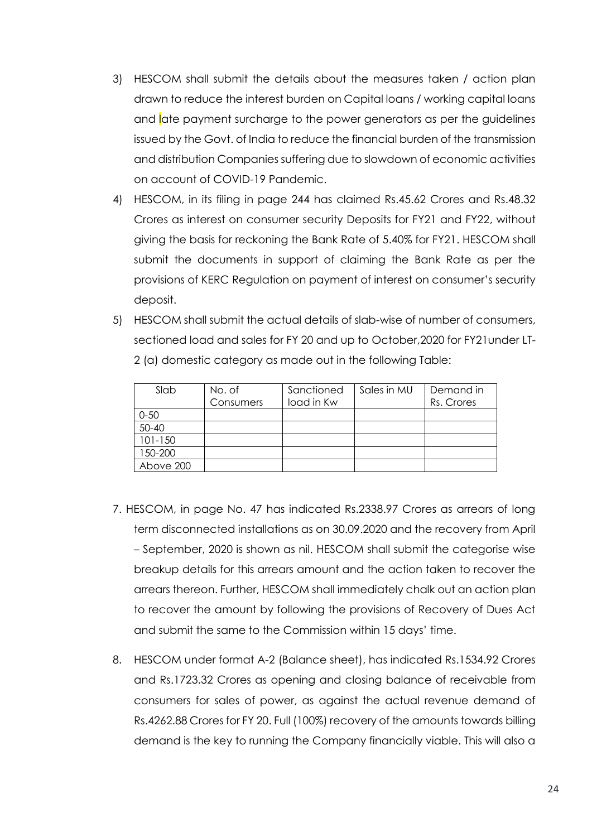- 3) HESCOM shall submit the details about the measures taken / action plan drawn to reduce the interest burden on Capital loans / working capital loans and late payment surcharge to the power generators as per the guidelines issued by the Govt. of India to reduce the financial burden of the transmission and distribution Companies suffering due to slowdown of economic activities on account of COVID-19 Pandemic.
- 4) HESCOM, in its filing in page 244 has claimed Rs.45.62 Crores and Rs.48.32 Crores as interest on consumer security Deposits for FY21 and FY22, without giving the basis for reckoning the Bank Rate of 5.40% for FY21. HESCOM shall submit the documents in support of claiming the Bank Rate as per the provisions of KERC Regulation on payment of interest on consumer's security deposit.
- 5) HESCOM shall submit the actual details of slab-wise of number of consumers, sectioned load and sales for FY 20 and up to October,2020 for FY21under LT-2 (a) domestic category as made out in the following Table:

| Slab        | No. of<br>Consumers | Sanctioned<br>load in Kw | Sales in MU | Demand in<br>Rs. Crores |
|-------------|---------------------|--------------------------|-------------|-------------------------|
| $0 - 50$    |                     |                          |             |                         |
| $50 - 40$   |                     |                          |             |                         |
| $101 - 150$ |                     |                          |             |                         |
| 150-200     |                     |                          |             |                         |
| Above 200   |                     |                          |             |                         |

- 7. HESCOM, in page No. 47 has indicated Rs.2338.97 Crores as arrears of long term disconnected installations as on 30.09.2020 and the recovery from April – September, 2020 is shown as nil. HESCOM shall submit the categorise wise breakup details for this arrears amount and the action taken to recover the arrears thereon. Further, HESCOM shall immediately chalk out an action plan to recover the amount by following the provisions of Recovery of Dues Act and submit the same to the Commission within 15 days' time.
- 8. HESCOM under format A-2 (Balance sheet), has indicated Rs.1534.92 Crores and Rs.1723.32 Crores as opening and closing balance of receivable from consumers for sales of power, as against the actual revenue demand of Rs.4262.88 Crores for FY 20. Full (100%) recovery of the amounts towards billing demand is the key to running the Company financially viable. This will also a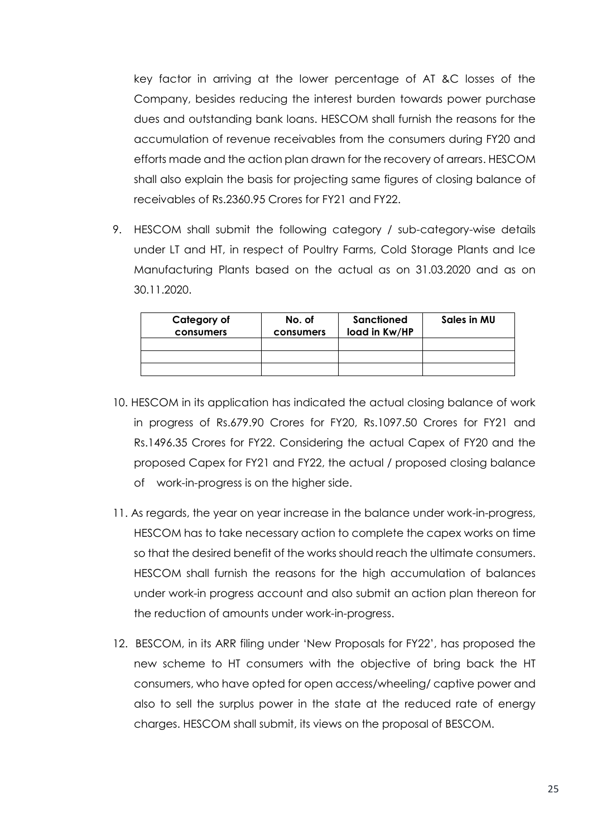key factor in arriving at the lower percentage of AT &C losses of the Company, besides reducing the interest burden towards power purchase dues and outstanding bank loans. HESCOM shall furnish the reasons for the accumulation of revenue receivables from the consumers during FY20 and efforts made and the action plan drawn for the recovery of arrears. HESCOM shall also explain the basis for projecting same figures of closing balance of receivables of Rs.2360.95 Crores for FY21 and FY22.

9. HESCOM shall submit the following category / sub-category-wise details under LT and HT, in respect of Poultry Farms, Cold Storage Plants and Ice Manufacturing Plants based on the actual as on 31.03.2020 and as on 30.11.2020.

| Category of<br>consumers | No. of<br>consumers | Sanctioned<br>load in Kw/HP | Sales in MU |
|--------------------------|---------------------|-----------------------------|-------------|
|                          |                     |                             |             |
|                          |                     |                             |             |
|                          |                     |                             |             |

- 10. HESCOM in its application has indicated the actual closing balance of work in progress of Rs.679.90 Crores for FY20, Rs.1097.50 Crores for FY21 and Rs.1496.35 Crores for FY22. Considering the actual Capex of FY20 and the proposed Capex for FY21 and FY22, the actual / proposed closing balance of work-in-progress is on the higher side.
- 11. As regards, the year on year increase in the balance under work-in-progress, HESCOM has to take necessary action to complete the capex works on time so that the desired benefit of the works should reach the ultimate consumers. HESCOM shall furnish the reasons for the high accumulation of balances under work-in progress account and also submit an action plan thereon for the reduction of amounts under work-in-progress.
- 12. BESCOM, in its ARR filing under 'New Proposals for FY22', has proposed the new scheme to HT consumers with the objective of bring back the HT consumers, who have opted for open access/wheeling/ captive power and also to sell the surplus power in the state at the reduced rate of energy charges. HESCOM shall submit, its views on the proposal of BESCOM.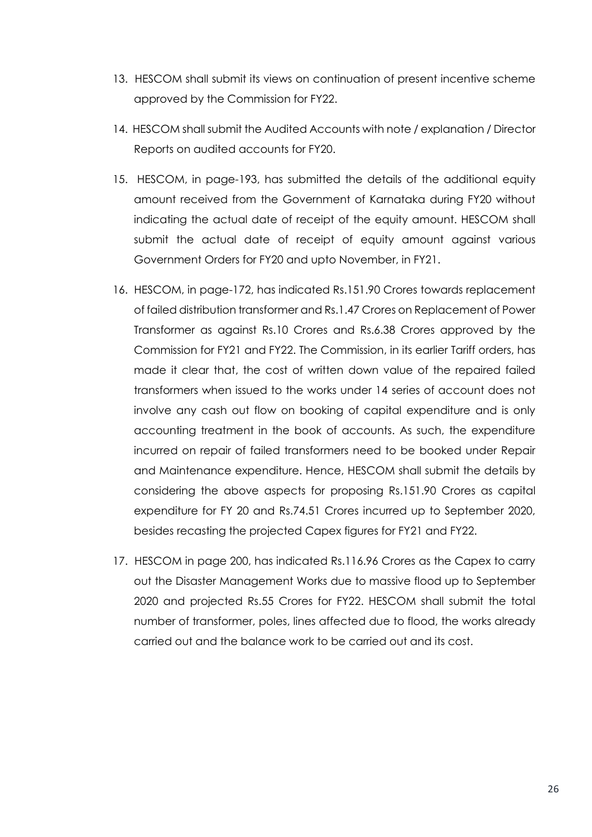- 13. HESCOM shall submit its views on continuation of present incentive scheme approved by the Commission for FY22.
- 14. HESCOM shall submit the Audited Accounts with note / explanation / Director Reports on audited accounts for FY20.
- 15. HESCOM, in page-193, has submitted the details of the additional equity amount received from the Government of Karnataka during FY20 without indicating the actual date of receipt of the equity amount. HESCOM shall submit the actual date of receipt of equity amount against various Government Orders for FY20 and upto November, in FY21.
- 16. HESCOM, in page-172, has indicated Rs.151.90 Crores towards replacement of failed distribution transformer and Rs.1.47 Crores on Replacement of Power Transformer as against Rs.10 Crores and Rs.6.38 Crores approved by the Commission for FY21 and FY22. The Commission, in its earlier Tariff orders, has made it clear that, the cost of written down value of the repaired failed transformers when issued to the works under 14 series of account does not involve any cash out flow on booking of capital expenditure and is only accounting treatment in the book of accounts. As such, the expenditure incurred on repair of failed transformers need to be booked under Repair and Maintenance expenditure. Hence, HESCOM shall submit the details by considering the above aspects for proposing Rs.151.90 Crores as capital expenditure for FY 20 and Rs.74.51 Crores incurred up to September 2020, besides recasting the projected Capex figures for FY21 and FY22.
- 17. HESCOM in page 200, has indicated Rs.116.96 Crores as the Capex to carry out the Disaster Management Works due to massive flood up to September 2020 and projected Rs.55 Crores for FY22. HESCOM shall submit the total number of transformer, poles, lines affected due to flood, the works already carried out and the balance work to be carried out and its cost.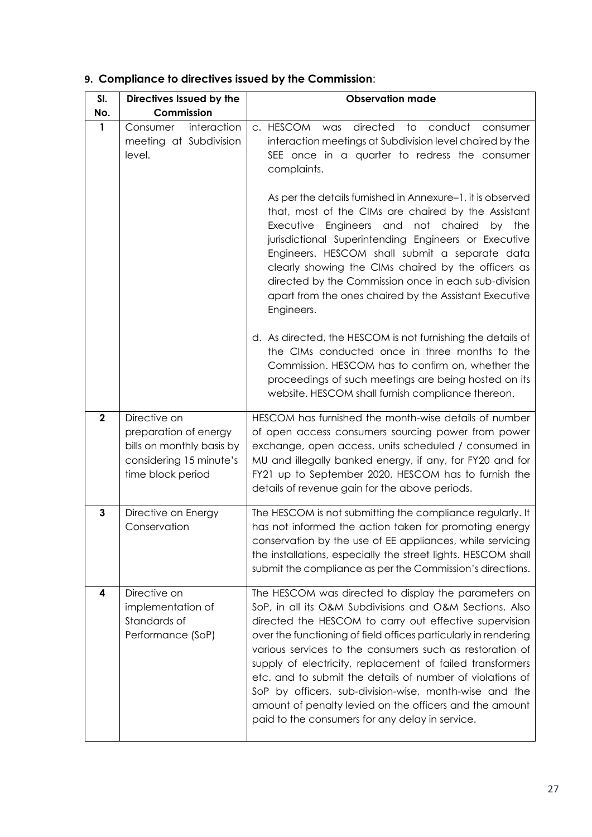| SI.                     | Directives Issued by the                                                                                           | <b>Observation made</b>                                                                                                                                                                                                                                                                                                                                                                                                                                                                                                                                                                                    |
|-------------------------|--------------------------------------------------------------------------------------------------------------------|------------------------------------------------------------------------------------------------------------------------------------------------------------------------------------------------------------------------------------------------------------------------------------------------------------------------------------------------------------------------------------------------------------------------------------------------------------------------------------------------------------------------------------------------------------------------------------------------------------|
| No.                     | Commission                                                                                                         |                                                                                                                                                                                                                                                                                                                                                                                                                                                                                                                                                                                                            |
| 1                       | interaction<br>Consumer<br>meeting at Subdivision<br>level.                                                        | directed<br>c. HESCOM was<br>conduct<br>to<br>consumer<br>interaction meetings at Subdivision level chaired by the<br>SEE once in a quarter to redress the consumer<br>complaints.                                                                                                                                                                                                                                                                                                                                                                                                                         |
|                         |                                                                                                                    | As per the details furnished in Annexure-1, it is observed<br>that, most of the CIMs are chaired by the Assistant<br>Executive Engineers and<br>not chaired<br>by the<br>jurisdictional Superintending Engineers or Executive<br>Engineers. HESCOM shall submit a separate data<br>clearly showing the CIMs chaired by the officers as<br>directed by the Commission once in each sub-division<br>apart from the ones chaired by the Assistant Executive<br>Engineers.                                                                                                                                     |
|                         |                                                                                                                    | d. As directed, the HESCOM is not furnishing the details of<br>the CIMs conducted once in three months to the<br>Commission. HESCOM has to confirm on, whether the<br>proceedings of such meetings are being hosted on its<br>website. HESCOM shall furnish compliance thereon.                                                                                                                                                                                                                                                                                                                            |
| $\overline{\mathbf{2}}$ | Directive on<br>preparation of energy<br>bills on monthly basis by<br>considering 15 minute's<br>time block period | HESCOM has furnished the month-wise details of number<br>of open access consumers sourcing power from power<br>exchange, open access, units scheduled / consumed in<br>MU and illegally banked energy, if any, for FY20 and for<br>FY21 up to September 2020. HESCOM has to furnish the<br>details of revenue gain for the above periods.                                                                                                                                                                                                                                                                  |
| $\mathbf{3}$            | Directive on Energy<br>Conservation                                                                                | The HESCOM is not submitting the compliance regularly. It<br>has not informed the action taken for promoting energy<br>conservation by the use of EE appliances, while servicing<br>the installations, especially the street lights. HESCOM shall<br>submit the compliance as per the Commission's directions.                                                                                                                                                                                                                                                                                             |
| 4                       | Directive on<br>implementation of<br>Standards of<br>Performance (SoP)                                             | The HESCOM was directed to display the parameters on<br>SoP, in all its O&M Subdivisions and O&M Sections. Also<br>directed the HESCOM to carry out effective supervision<br>over the functioning of field offices particularly in rendering<br>various services to the consumers such as restoration of<br>supply of electricity, replacement of failed transformers<br>etc. and to submit the details of number of violations of<br>SoP by officers, sub-division-wise, month-wise and the<br>amount of penalty levied on the officers and the amount<br>paid to the consumers for any delay in service. |

# **9. Compliance to directives issued by the Commission**: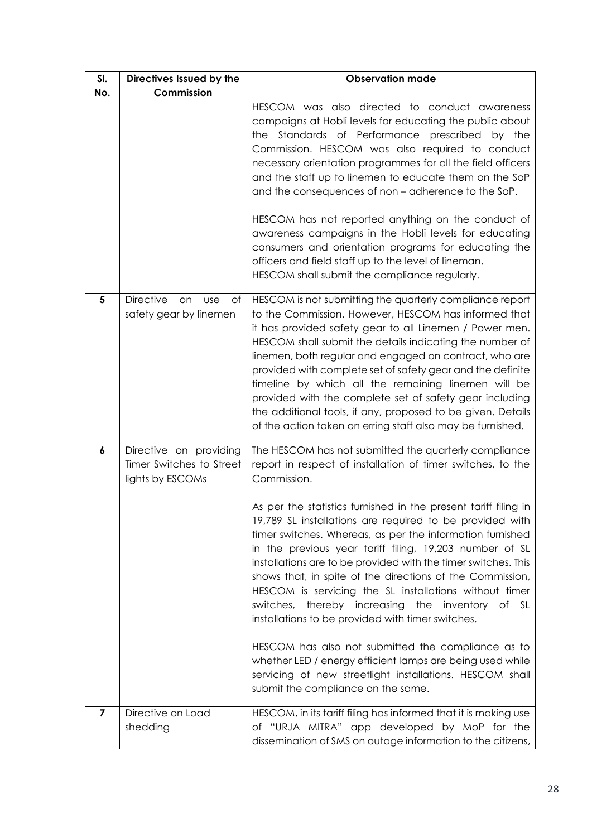| SI.                     | Directives Issued by the                                               | <b>Observation made</b>                                                                                                                                                                                                                                                                                                                                                                                                                                                                                                                                                                                                                                                                                                                                                                                                                                                                                           |
|-------------------------|------------------------------------------------------------------------|-------------------------------------------------------------------------------------------------------------------------------------------------------------------------------------------------------------------------------------------------------------------------------------------------------------------------------------------------------------------------------------------------------------------------------------------------------------------------------------------------------------------------------------------------------------------------------------------------------------------------------------------------------------------------------------------------------------------------------------------------------------------------------------------------------------------------------------------------------------------------------------------------------------------|
| No.                     | Commission                                                             |                                                                                                                                                                                                                                                                                                                                                                                                                                                                                                                                                                                                                                                                                                                                                                                                                                                                                                                   |
|                         |                                                                        | HESCOM was also directed to conduct awareness<br>campaigns at Hobli levels for educating the public about<br>the Standards of Performance prescribed by the<br>Commission. HESCOM was also required to conduct<br>necessary orientation programmes for all the field officers<br>and the staff up to linemen to educate them on the SoP<br>and the consequences of non - adherence to the SoP.<br>HESCOM has not reported anything on the conduct of<br>awareness campaigns in the Hobli levels for educating<br>consumers and orientation programs for educating the<br>officers and field staff up to the level of lineman.<br>HESCOM shall submit the compliance regularly.                                                                                                                                                                                                                                    |
| $\overline{\mathbf{5}}$ | <b>Directive</b><br>on<br><b>use</b><br>of<br>safety gear by linemen   | HESCOM is not submitting the quarterly compliance report<br>to the Commission. However, HESCOM has informed that<br>it has provided safety gear to all Linemen / Power men.<br>HESCOM shall submit the details indicating the number of<br>linemen, both regular and engaged on contract, who are<br>provided with complete set of safety gear and the definite<br>timeline by which all the remaining linemen will be<br>provided with the complete set of safety gear including<br>the additional tools, if any, proposed to be given. Details<br>of the action taken on erring staff also may be furnished.                                                                                                                                                                                                                                                                                                    |
| 6                       | Directive on providing<br>Timer Switches to Street<br>lights by ESCOMs | The HESCOM has not submitted the quarterly compliance<br>report in respect of installation of timer switches, to the<br>Commission.<br>As per the statistics furnished in the present tariff filing in<br>19,789 SL installations are required to be provided with<br>timer switches. Whereas, as per the information furnished<br>in the previous year tariff filing, 19,203 number of SL<br>installations are to be provided with the timer switches. This<br>shows that, in spite of the directions of the Commission,<br>HESCOM is servicing the SL installations without timer<br>switches, thereby increasing the inventory of SL<br>installations to be provided with timer switches.<br>HESCOM has also not submitted the compliance as to<br>whether LED / energy efficient lamps are being used while<br>servicing of new streetlight installations. HESCOM shall<br>submit the compliance on the same. |
| $\overline{7}$          | Directive on Load<br>shedding                                          | HESCOM, in its tariff filing has informed that it is making use<br>of "URJA MITRA" app developed by MoP for the<br>dissemination of SMS on outage information to the citizens,                                                                                                                                                                                                                                                                                                                                                                                                                                                                                                                                                                                                                                                                                                                                    |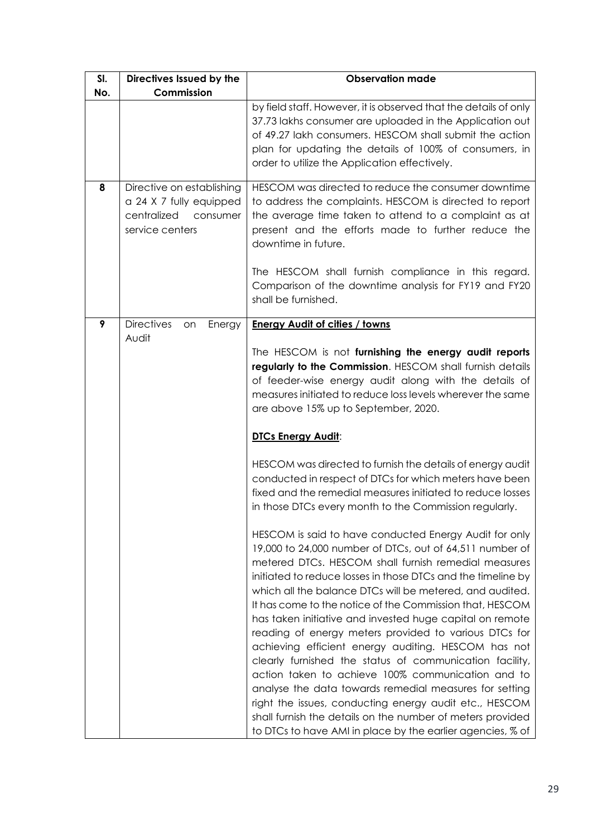| SI. | Directives Issued by the                                                                           | <b>Observation made</b>                                                                                                                                                                                                                                                                                                                                                                                                                                                                                                                                                                                                                                                                                                                                                                                                                                                                                        |
|-----|----------------------------------------------------------------------------------------------------|----------------------------------------------------------------------------------------------------------------------------------------------------------------------------------------------------------------------------------------------------------------------------------------------------------------------------------------------------------------------------------------------------------------------------------------------------------------------------------------------------------------------------------------------------------------------------------------------------------------------------------------------------------------------------------------------------------------------------------------------------------------------------------------------------------------------------------------------------------------------------------------------------------------|
| No. | Commission                                                                                         |                                                                                                                                                                                                                                                                                                                                                                                                                                                                                                                                                                                                                                                                                                                                                                                                                                                                                                                |
|     |                                                                                                    | by field staff. However, it is observed that the details of only<br>37.73 lakhs consumer are uploaded in the Application out<br>of 49.27 lakh consumers. HESCOM shall submit the action<br>plan for updating the details of 100% of consumers, in<br>order to utilize the Application effectively.                                                                                                                                                                                                                                                                                                                                                                                                                                                                                                                                                                                                             |
| 8   | Directive on establishing<br>a 24 X 7 fully equipped<br>centralized<br>consumer<br>service centers | HESCOM was directed to reduce the consumer downtime<br>to address the complaints. HESCOM is directed to report<br>the average time taken to attend to a complaint as at<br>present and the efforts made to further reduce the<br>downtime in future.                                                                                                                                                                                                                                                                                                                                                                                                                                                                                                                                                                                                                                                           |
|     |                                                                                                    | The HESCOM shall furnish compliance in this regard.<br>Comparison of the downtime analysis for FY19 and FY20<br>shall be furnished.                                                                                                                                                                                                                                                                                                                                                                                                                                                                                                                                                                                                                                                                                                                                                                            |
| 9   | <b>Directives</b><br>Energy<br>on<br>Audit                                                         | <b>Energy Audit of cities / towns</b>                                                                                                                                                                                                                                                                                                                                                                                                                                                                                                                                                                                                                                                                                                                                                                                                                                                                          |
|     |                                                                                                    | The HESCOM is not furnishing the energy audit reports<br>regularly to the Commission. HESCOM shall furnish details<br>of feeder-wise energy audit along with the details of<br>measures initiated to reduce loss levels wherever the same<br>are above 15% up to September, 2020.<br><b>DTCs Energy Audit:</b>                                                                                                                                                                                                                                                                                                                                                                                                                                                                                                                                                                                                 |
|     |                                                                                                    |                                                                                                                                                                                                                                                                                                                                                                                                                                                                                                                                                                                                                                                                                                                                                                                                                                                                                                                |
|     |                                                                                                    | HESCOM was directed to furnish the details of energy audit<br>conducted in respect of DTCs for which meters have been<br>fixed and the remedial measures initiated to reduce losses<br>in those DTCs every month to the Commission regularly.                                                                                                                                                                                                                                                                                                                                                                                                                                                                                                                                                                                                                                                                  |
|     |                                                                                                    | HESCOM is said to have conducted Energy Audit for only<br>19,000 to 24,000 number of DTCs, out of 64,511 number of<br>metered DTCs. HESCOM shall furnish remedial measures<br>initiated to reduce losses in those DTCs and the timeline by<br>which all the balance DTCs will be metered, and audited.<br>It has come to the notice of the Commission that, HESCOM<br>has taken initiative and invested huge capital on remote<br>reading of energy meters provided to various DTCs for<br>achieving efficient energy auditing. HESCOM has not<br>clearly furnished the status of communication facility,<br>action taken to achieve 100% communication and to<br>analyse the data towards remedial measures for setting<br>right the issues, conducting energy audit etc., HESCOM<br>shall furnish the details on the number of meters provided<br>to DTCs to have AMI in place by the earlier agencies, % of |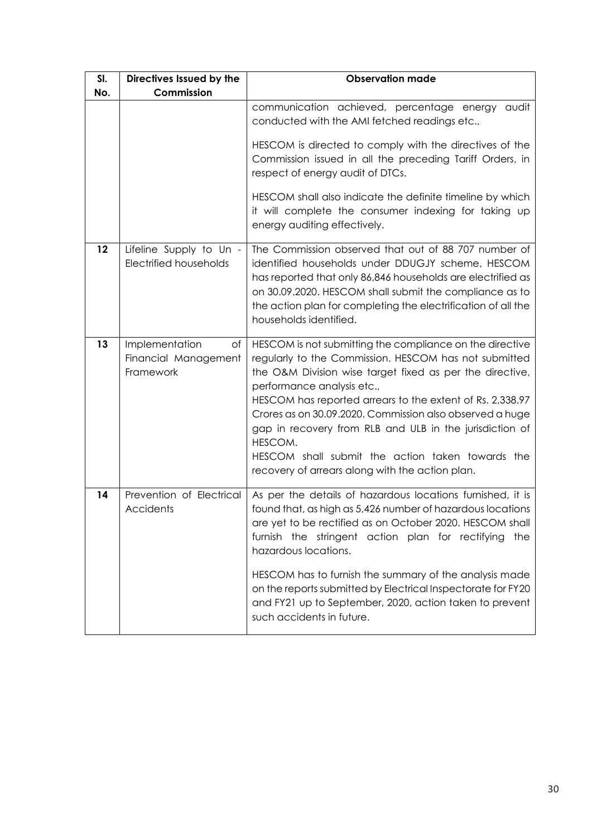| SI. | Directives Issued by the                                  | <b>Observation made</b>                                                                                                                                                                                                                                                                                                                                                                                                                                                                                           |
|-----|-----------------------------------------------------------|-------------------------------------------------------------------------------------------------------------------------------------------------------------------------------------------------------------------------------------------------------------------------------------------------------------------------------------------------------------------------------------------------------------------------------------------------------------------------------------------------------------------|
| No. | Commission                                                |                                                                                                                                                                                                                                                                                                                                                                                                                                                                                                                   |
|     |                                                           | communication achieved, percentage energy audit<br>conducted with the AMI fetched readings etc.,                                                                                                                                                                                                                                                                                                                                                                                                                  |
|     |                                                           | HESCOM is directed to comply with the directives of the<br>Commission issued in all the preceding Tariff Orders, in<br>respect of energy audit of DTCs.                                                                                                                                                                                                                                                                                                                                                           |
|     |                                                           | HESCOM shall also indicate the definite timeline by which<br>it will complete the consumer indexing for taking up<br>energy auditing effectively.                                                                                                                                                                                                                                                                                                                                                                 |
| 12  | Lifeline Supply to Un -<br><b>Electrified households</b>  | The Commission observed that out of 88 707 number of<br>identified households under DDUGJY scheme, HESCOM<br>has reported that only 86,846 households are electrified as<br>on 30.09.2020. HESCOM shall submit the compliance as to<br>the action plan for completing the electrification of all the<br>households identified.                                                                                                                                                                                    |
| 13  | Implementation<br>of<br>Financial Management<br>Framework | HESCOM is not submitting the compliance on the directive<br>regularly to the Commission. HESCOM has not submitted<br>the O&M Division wise target fixed as per the directive,<br>performance analysis etc.,<br>HESCOM has reported arrears to the extent of Rs. 2,338.97<br>Crores as on 30.09.2020. Commission also observed a huge<br>gap in recovery from RLB and ULB in the jurisdiction of<br>HESCOM.<br>HESCOM shall submit the action taken towards the<br>recovery of arrears along with the action plan. |
| 14  | Prevention of Electrical<br>Accidents                     | As per the details of hazardous locations furnished, it is<br>found that, as high as 5,426 number of hazardous locations<br>are yet to be rectified as on October 2020. HESCOM shall<br>furnish the stringent action plan for rectifying<br>the<br>hazardous locations.<br>HESCOM has to furnish the summary of the analysis made<br>on the reports submitted by Electrical Inspectorate for FY20<br>and FY21 up to September, 2020, action taken to prevent<br>such accidents in future.                         |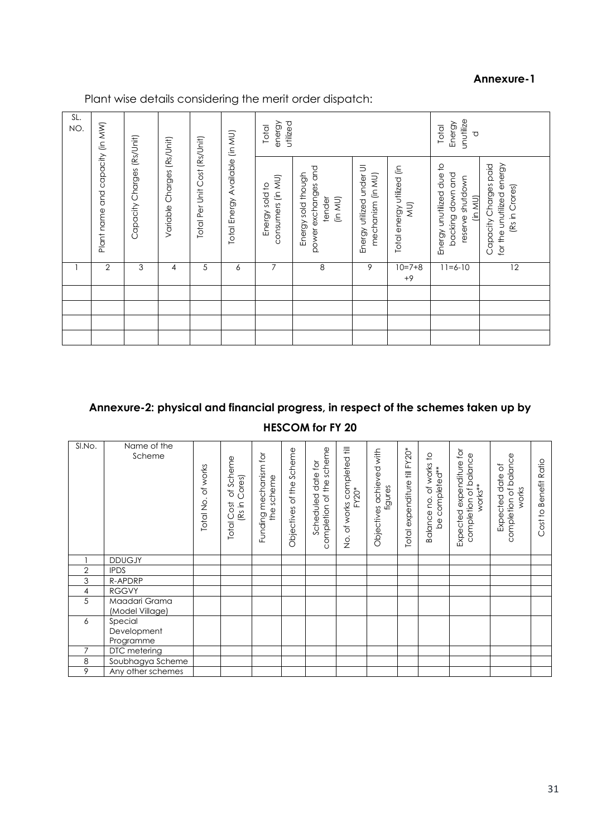## **Annexure-1**

Plant wise details considering the merit order dispatch:

| SL.<br>NO. |                                                                                             |   |                                                                 |                                     |                                                                | utilized<br>energy<br>Total                   |                                  |                                                                             |                                                                      | unutilize<br>Energy<br>Total<br>℧ |    |
|------------|---------------------------------------------------------------------------------------------|---|-----------------------------------------------------------------|-------------------------------------|----------------------------------------------------------------|-----------------------------------------------|----------------------------------|-----------------------------------------------------------------------------|----------------------------------------------------------------------|-----------------------------------|----|
|            | Plant name and capacity (in MW)<br>Capacity Charges (Rs/Unit)<br>Variable Charges (Rs/Unit) |   | Total Energy Available (in MU)<br>Total Per Unit Cost (Rs/Unit) | consumers (in MU)<br>Energy sold to | power exchanges and<br>Energy sold though<br>tender<br>(in MU) | Energy utilized under UI<br>mechanism (in MU) | Total energy utilized (in<br>ΜU) | Energy unutilized due to<br>backing down and<br>reserve shutdown<br>(in MU) | for the unutilized energy<br>Capacity Charges paid<br>(Rs in Crores) |                                   |    |
|            | $\overline{2}$                                                                              | 3 | 4                                                               | 5                                   | 6                                                              | 7                                             | 8                                | 9                                                                           | $10=7+8$<br>$+9$                                                     | $11 = 6 - 10$                     | 12 |
|            |                                                                                             |   |                                                                 |                                     |                                                                |                                               |                                  |                                                                             |                                                                      |                                   |    |
|            |                                                                                             |   |                                                                 |                                     |                                                                |                                               |                                  |                                                                             |                                                                      |                                   |    |
|            |                                                                                             |   |                                                                 |                                     |                                                                |                                               |                                  |                                                                             |                                                                      |                                   |    |
|            |                                                                                             |   |                                                                 |                                     |                                                                |                                               |                                  |                                                                             |                                                                      |                                   |    |

# **Annexure-2: physical and financial progress, in respect of the schemes taken up by HESCOM for FY 20**

| SI.No.         | Name of the<br>Scheme               | of works<br>Total No. | of Scheme<br>Cores)<br>(Rs in<br><b>Total Cost</b> | Funding mechanism for<br>the scheme | Objectives of the Scheme | completion of the scheme<br>Scheduled date for | ks completed till<br>FY20*<br>of works<br>$\frac{\dot{\mathsf{Q}}}{\mathsf{Z}}$ | Objectives achieved with<br>figures | Total expenditure till FY20* | of works to<br>be completed**<br>Balance no. | Expected expenditure for<br>completion of balance<br>works** | completion of balance<br>ð<br>Expected date<br>works | Benefit Ratio<br>Cost to |
|----------------|-------------------------------------|-----------------------|----------------------------------------------------|-------------------------------------|--------------------------|------------------------------------------------|---------------------------------------------------------------------------------|-------------------------------------|------------------------------|----------------------------------------------|--------------------------------------------------------------|------------------------------------------------------|--------------------------|
|                | <b>DDUGJY</b>                       |                       |                                                    |                                     |                          |                                                |                                                                                 |                                     |                              |                                              |                                                              |                                                      |                          |
| 2              | <b>IPDS</b>                         |                       |                                                    |                                     |                          |                                                |                                                                                 |                                     |                              |                                              |                                                              |                                                      |                          |
| 3              | R-APDRP                             |                       |                                                    |                                     |                          |                                                |                                                                                 |                                     |                              |                                              |                                                              |                                                      |                          |
| 4              | <b>RGGVY</b>                        |                       |                                                    |                                     |                          |                                                |                                                                                 |                                     |                              |                                              |                                                              |                                                      |                          |
| 5              | Maadari Grama<br>(Model Village)    |                       |                                                    |                                     |                          |                                                |                                                                                 |                                     |                              |                                              |                                                              |                                                      |                          |
| 6              | Special<br>Development<br>Programme |                       |                                                    |                                     |                          |                                                |                                                                                 |                                     |                              |                                              |                                                              |                                                      |                          |
| $\overline{7}$ | DTC metering                        |                       |                                                    |                                     |                          |                                                |                                                                                 |                                     |                              |                                              |                                                              |                                                      |                          |
| 8              | Soubhagya Scheme                    |                       |                                                    |                                     |                          |                                                |                                                                                 |                                     |                              |                                              |                                                              |                                                      |                          |
| 9              | Any other schemes                   |                       |                                                    |                                     |                          |                                                |                                                                                 |                                     |                              |                                              |                                                              |                                                      |                          |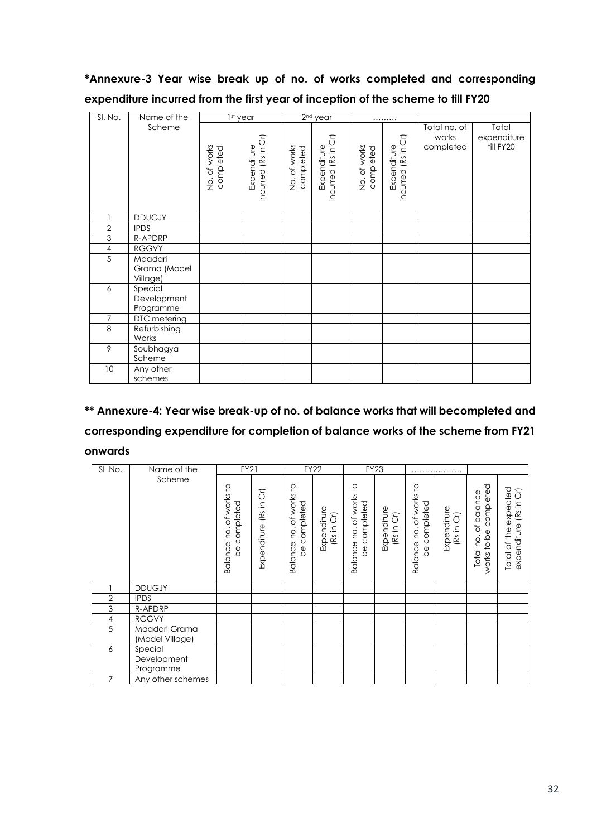# **\*Annexure-3 Year wise break up of no. of works completed and corresponding expenditure incurred from the first year of inception of the scheme to till FY20**

| SI. No.        | Name of the                         |                           | 1st year                           |                           | 2 <sup>nd</sup> year               |                           | .                                  |                                    |                                   |
|----------------|-------------------------------------|---------------------------|------------------------------------|---------------------------|------------------------------------|---------------------------|------------------------------------|------------------------------------|-----------------------------------|
|                | Scheme                              | No. of works<br>completed | incurred (Rs in Cr)<br>Expenditure | No. of works<br>completed | incurred (Rs in Cr)<br>Expenditure | No. of works<br>completed | incurred (Rs in Cr)<br>Expenditure | Total no. of<br>works<br>completed | Total<br>expenditure<br>till FY20 |
|                | <b>DDUGJY</b>                       |                           |                                    |                           |                                    |                           |                                    |                                    |                                   |
| $\overline{2}$ | <b>IPDS</b>                         |                           |                                    |                           |                                    |                           |                                    |                                    |                                   |
| 3              | R-APDRP                             |                           |                                    |                           |                                    |                           |                                    |                                    |                                   |
| $\sqrt{4}$     | <b>RGGVY</b>                        |                           |                                    |                           |                                    |                           |                                    |                                    |                                   |
| 5              | Maadari<br>Grama (Model<br>Village) |                           |                                    |                           |                                    |                           |                                    |                                    |                                   |
| 6              | Special<br>Development<br>Programme |                           |                                    |                           |                                    |                           |                                    |                                    |                                   |
| $\overline{7}$ | DTC metering                        |                           |                                    |                           |                                    |                           |                                    |                                    |                                   |
| $\,8\,$        | Refurbishing<br>Works               |                           |                                    |                           |                                    |                           |                                    |                                    |                                   |
| 9              | Soubhagya<br>Scheme                 |                           |                                    |                           |                                    |                           |                                    |                                    |                                   |
| 10             | Any other<br>schemes                |                           |                                    |                           |                                    |                           |                                    |                                    |                                   |

# **\*\* Annexure-4: Year wise break-up of no. of balance works that will becompleted and corresponding expenditure for completion of balance works of the scheme from FY21 onwards**

| SI .No.        | Name of the                         | <b>FY21</b>                                                             |                             |                                               | <b>FY22</b>               |                                               | <b>FY23</b>               |                                               |                           |                                                        |                                                       |
|----------------|-------------------------------------|-------------------------------------------------------------------------|-----------------------------|-----------------------------------------------|---------------------------|-----------------------------------------------|---------------------------|-----------------------------------------------|---------------------------|--------------------------------------------------------|-------------------------------------------------------|
|                | Scheme                              | $\overline{c}$<br>of works<br>completed<br>Balance no.<br>$\frac{1}{2}$ | δĪ<br>(Rs in<br>Expenditure | of works to<br>completed<br>Balance no.<br>be | Expenditure<br>(Rs in Cr) | of works to<br>completed<br>Balance no.<br>be | Expenditure<br>(Rs in Cr) | of works to<br>completed<br>Balance no.<br>be | Expenditure<br>(Rs in Cr) | completed<br>of balance<br>to be<br>Total no.<br>works | expected<br>(Rs in Cr)<br>expenditure<br>Total of the |
|                | <b>DDUGJY</b>                       |                                                                         |                             |                                               |                           |                                               |                           |                                               |                           |                                                        |                                                       |
| $\overline{2}$ | <b>IPDS</b>                         |                                                                         |                             |                                               |                           |                                               |                           |                                               |                           |                                                        |                                                       |
| 3              | R-APDRP                             |                                                                         |                             |                                               |                           |                                               |                           |                                               |                           |                                                        |                                                       |
| 4              | <b>RGGVY</b>                        |                                                                         |                             |                                               |                           |                                               |                           |                                               |                           |                                                        |                                                       |
| 5              | Maadari Grama<br>(Model Village)    |                                                                         |                             |                                               |                           |                                               |                           |                                               |                           |                                                        |                                                       |
| 6              | Special<br>Development<br>Programme |                                                                         |                             |                                               |                           |                                               |                           |                                               |                           |                                                        |                                                       |
| $\overline{7}$ | Any other schemes                   |                                                                         |                             |                                               |                           |                                               |                           |                                               |                           |                                                        |                                                       |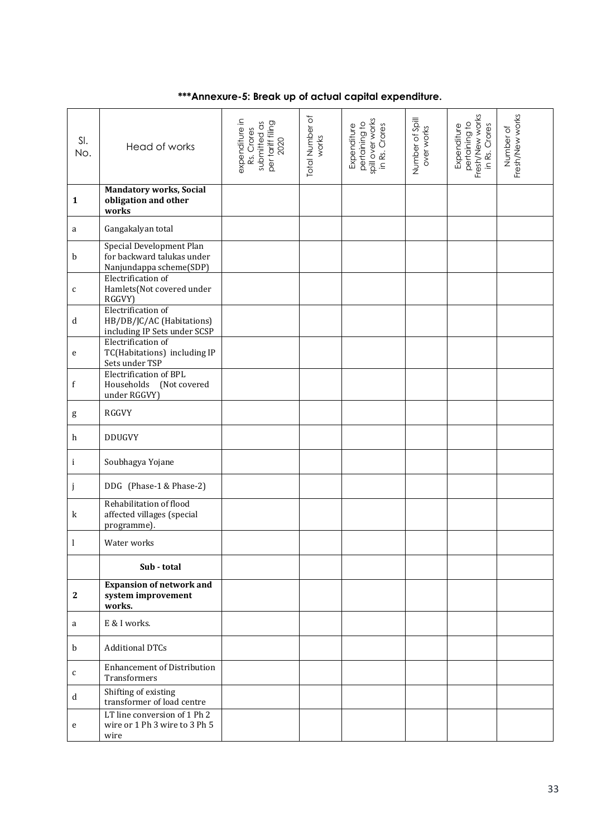# **\*\*\*Annexure-5: Break up of actual capital expenditure.**

| SI.<br>No.   | Head of works                                                                     | expenditure in<br>per tariff filing<br>2020<br>submitted as<br>Rs. Crores | Total Number of<br>works | spill over works<br>pertaining to<br>in Rs. Crores<br>Expenditure | Number of Spill<br>over works | Fresh/New works<br>pertaining to<br>Expenditure<br>in Rs. Crores | Fresh/New works<br>Number of |
|--------------|-----------------------------------------------------------------------------------|---------------------------------------------------------------------------|--------------------------|-------------------------------------------------------------------|-------------------------------|------------------------------------------------------------------|------------------------------|
| $\mathbf{1}$ | <b>Mandatory works, Social</b><br>obligation and other<br>works                   |                                                                           |                          |                                                                   |                               |                                                                  |                              |
| a            | Gangakalyan total                                                                 |                                                                           |                          |                                                                   |                               |                                                                  |                              |
| b            | Special Development Plan<br>for backward talukas under<br>Nanjundappa scheme(SDP) |                                                                           |                          |                                                                   |                               |                                                                  |                              |
| $\mathsf C$  | Electrification of<br>Hamlets(Not covered under<br>RGGVY)                         |                                                                           |                          |                                                                   |                               |                                                                  |                              |
| d            | Electrification of<br>HB/DB/JC/AC (Habitations)<br>including IP Sets under SCSP   |                                                                           |                          |                                                                   |                               |                                                                  |                              |
| e            | Electrification of<br>TC(Habitations) including IP<br>Sets under TSP              |                                                                           |                          |                                                                   |                               |                                                                  |                              |
| f            | Electrification of BPL<br>Households<br>(Not covered<br>under RGGVY)              |                                                                           |                          |                                                                   |                               |                                                                  |                              |
| g            | RGGVY                                                                             |                                                                           |                          |                                                                   |                               |                                                                  |                              |
| h            | <b>DDUGVY</b>                                                                     |                                                                           |                          |                                                                   |                               |                                                                  |                              |
| i            | Soubhagya Yojane                                                                  |                                                                           |                          |                                                                   |                               |                                                                  |                              |
| j            | DDG (Phase-1 & Phase-2)                                                           |                                                                           |                          |                                                                   |                               |                                                                  |                              |
| $\bf k$      | Rehabilitation of flood<br>affected villages (special<br>programme).              |                                                                           |                          |                                                                   |                               |                                                                  |                              |
| 1            | Water works                                                                       |                                                                           |                          |                                                                   |                               |                                                                  |                              |
|              | Sub - total                                                                       |                                                                           |                          |                                                                   |                               |                                                                  |                              |
| $\mathbf{2}$ | <b>Expansion of network and</b><br>system improvement<br>works.                   |                                                                           |                          |                                                                   |                               |                                                                  |                              |
| a            | E & I works.                                                                      |                                                                           |                          |                                                                   |                               |                                                                  |                              |
| b            | <b>Additional DTCs</b>                                                            |                                                                           |                          |                                                                   |                               |                                                                  |                              |
| $\mathsf{C}$ | <b>Enhancement of Distribution</b><br>Transformers                                |                                                                           |                          |                                                                   |                               |                                                                  |                              |
| $\mathbf d$  | Shifting of existing<br>transformer of load centre                                |                                                                           |                          |                                                                   |                               |                                                                  |                              |
| ${\bf e}$    | LT line conversion of 1 Ph 2<br>wire or 1 Ph 3 wire to 3 Ph 5<br>wire             |                                                                           |                          |                                                                   |                               |                                                                  |                              |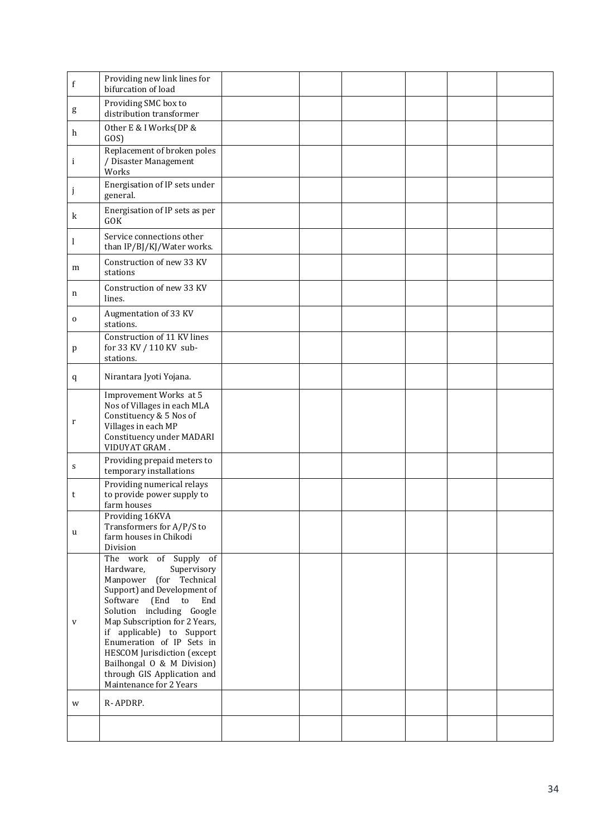| f            | Providing new link lines for<br>bifurcation of load                                                                                                                                                                                                                                                                                                                                            |  |  |  |
|--------------|------------------------------------------------------------------------------------------------------------------------------------------------------------------------------------------------------------------------------------------------------------------------------------------------------------------------------------------------------------------------------------------------|--|--|--|
| $\mathbf g$  | Providing SMC box to<br>distribution transformer                                                                                                                                                                                                                                                                                                                                               |  |  |  |
| h            | Other E & I Works(DP &<br>GOS)                                                                                                                                                                                                                                                                                                                                                                 |  |  |  |
| i            | Replacement of broken poles<br>/ Disaster Management<br>Works                                                                                                                                                                                                                                                                                                                                  |  |  |  |
| j            | Energisation of IP sets under<br>general.                                                                                                                                                                                                                                                                                                                                                      |  |  |  |
| $\bf k$      | Energisation of IP sets as per<br><b>GOK</b>                                                                                                                                                                                                                                                                                                                                                   |  |  |  |
| 1            | Service connections other<br>than IP/BJ/KJ/Water works.                                                                                                                                                                                                                                                                                                                                        |  |  |  |
| m            | Construction of new 33 KV<br>stations                                                                                                                                                                                                                                                                                                                                                          |  |  |  |
| n            | Construction of new 33 KV<br>lines.                                                                                                                                                                                                                                                                                                                                                            |  |  |  |
| $\mathbf 0$  | Augmentation of 33 KV<br>stations.                                                                                                                                                                                                                                                                                                                                                             |  |  |  |
| p            | Construction of 11 KV lines<br>for 33 KV / 110 KV sub-<br>stations.                                                                                                                                                                                                                                                                                                                            |  |  |  |
| q            | Nirantara Jyoti Yojana.                                                                                                                                                                                                                                                                                                                                                                        |  |  |  |
| r            | Improvement Works at 5<br>Nos of Villages in each MLA<br>Constituency & 5 Nos of<br>Villages in each MP<br>Constituency under MADARI<br>VIDUYAT GRAM.                                                                                                                                                                                                                                          |  |  |  |
| S            | Providing prepaid meters to<br>temporary installations                                                                                                                                                                                                                                                                                                                                         |  |  |  |
| t            | Providing numerical relays<br>to provide power supply to<br>farm houses                                                                                                                                                                                                                                                                                                                        |  |  |  |
| u            | Providing 16KVA<br>Transformers for A/P/S to<br>farm houses in Chikodi<br>Division                                                                                                                                                                                                                                                                                                             |  |  |  |
| $\mathbf{V}$ | The work of Supply of<br>Hardware,<br>Supervisory<br>Manpower<br>(for Technical<br>Support) and Development of<br>Software<br>(End<br>End<br>to<br>Solution including Google<br>Map Subscription for 2 Years,<br>if applicable) to Support<br>Enumeration of IP Sets in<br>HESCOM Jurisdiction (except<br>Bailhongal O & M Division)<br>through GIS Application and<br>Maintenance for 2 Years |  |  |  |
| W            | R-APDRP.                                                                                                                                                                                                                                                                                                                                                                                       |  |  |  |
|              |                                                                                                                                                                                                                                                                                                                                                                                                |  |  |  |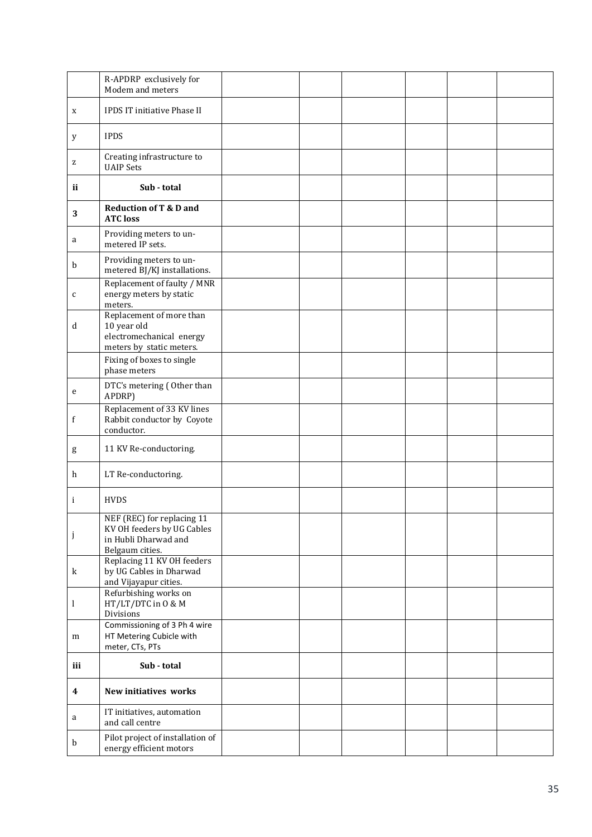|             | R-APDRP exclusively for<br>Modem and meters                                                         |  |  |  |
|-------------|-----------------------------------------------------------------------------------------------------|--|--|--|
| X           | IPDS IT initiative Phase II                                                                         |  |  |  |
| У           | <b>IPDS</b>                                                                                         |  |  |  |
| z           | Creating infrastructure to<br><b>UAIP Sets</b>                                                      |  |  |  |
| ij          | Sub - total                                                                                         |  |  |  |
| 3           | <b>Reduction of T &amp; D and</b><br><b>ATC loss</b>                                                |  |  |  |
| a           | Providing meters to un-<br>metered IP sets.                                                         |  |  |  |
| b           | Providing meters to un-<br>metered BJ/KJ installations.                                             |  |  |  |
| C           | Replacement of faulty / MNR<br>energy meters by static<br>meters.                                   |  |  |  |
| d           | Replacement of more than<br>10 year old<br>electromechanical energy<br>meters by static meters.     |  |  |  |
|             | Fixing of boxes to single<br>phase meters                                                           |  |  |  |
| ${\bf e}$   | DTC's metering (Other than<br>APDRP)                                                                |  |  |  |
| f           | Replacement of 33 KV lines<br>Rabbit conductor by Coyote<br>conductor.                              |  |  |  |
| $\mathbf g$ | 11 KV Re-conductoring.                                                                              |  |  |  |
| h           | LT Re-conductoring.                                                                                 |  |  |  |
| i           | <b>HVDS</b>                                                                                         |  |  |  |
| j           | NEF (REC) for replacing 11<br>KV OH feeders by UG Cables<br>in Hubli Dharwad and<br>Belgaum cities. |  |  |  |
| $\mathbf k$ | Replacing 11 KV OH feeders<br>by UG Cables in Dharwad<br>and Vijayapur cities.                      |  |  |  |
| 1           | Refurbishing works on<br>HT/LT/DTC in 0 & M<br>Divisions                                            |  |  |  |
| m           | Commissioning of 3 Ph 4 wire<br>HT Metering Cubicle with<br>meter, CTs, PTs                         |  |  |  |
| iii         | Sub - total                                                                                         |  |  |  |
| 4           | New initiatives works                                                                               |  |  |  |
| a           | IT initiatives, automation<br>and call centre                                                       |  |  |  |
| b           | Pilot project of installation of<br>energy efficient motors                                         |  |  |  |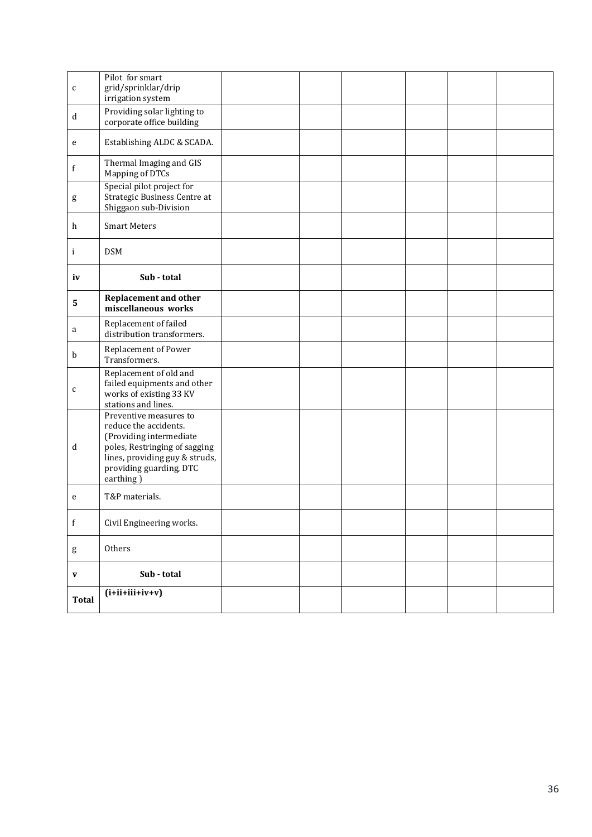| $\mathbf{C}$ | Pilot for smart<br>grid/sprinklar/drip<br>irrigation system                                                                                                                           |  |  |  |
|--------------|---------------------------------------------------------------------------------------------------------------------------------------------------------------------------------------|--|--|--|
| d            | Providing solar lighting to<br>corporate office building                                                                                                                              |  |  |  |
| ${\bf e}$    | Establishing ALDC & SCADA.                                                                                                                                                            |  |  |  |
| f            | Thermal Imaging and GIS<br>Mapping of DTCs                                                                                                                                            |  |  |  |
| $\mathsf g$  | Special pilot project for<br>Strategic Business Centre at<br>Shiggaon sub-Division                                                                                                    |  |  |  |
| h            | <b>Smart Meters</b>                                                                                                                                                                   |  |  |  |
| $\mathbf{i}$ | <b>DSM</b>                                                                                                                                                                            |  |  |  |
| iv           | Sub - total                                                                                                                                                                           |  |  |  |
| $\mathbf{5}$ | <b>Replacement and other</b><br>miscellaneous works                                                                                                                                   |  |  |  |
| a            | Replacement of failed<br>distribution transformers.                                                                                                                                   |  |  |  |
| b            | Replacement of Power<br>Transformers.                                                                                                                                                 |  |  |  |
| $\mathbf{C}$ | Replacement of old and<br>failed equipments and other<br>works of existing 33 KV<br>stations and lines.                                                                               |  |  |  |
| d            | Preventive measures to<br>reduce the accidents.<br>(Providing intermediate<br>poles, Restringing of sagging<br>lines, providing guy & struds,<br>providing guarding, DTC<br>earthing) |  |  |  |
| e            | T&P materials.                                                                                                                                                                        |  |  |  |
| $\mathbf f$  | Civil Engineering works.                                                                                                                                                              |  |  |  |
| $\mathsf g$  | Others                                                                                                                                                                                |  |  |  |
| $\mathbf{V}$ | Sub - total                                                                                                                                                                           |  |  |  |
| <b>Total</b> | $(i+ii+iii+iv+v)$                                                                                                                                                                     |  |  |  |